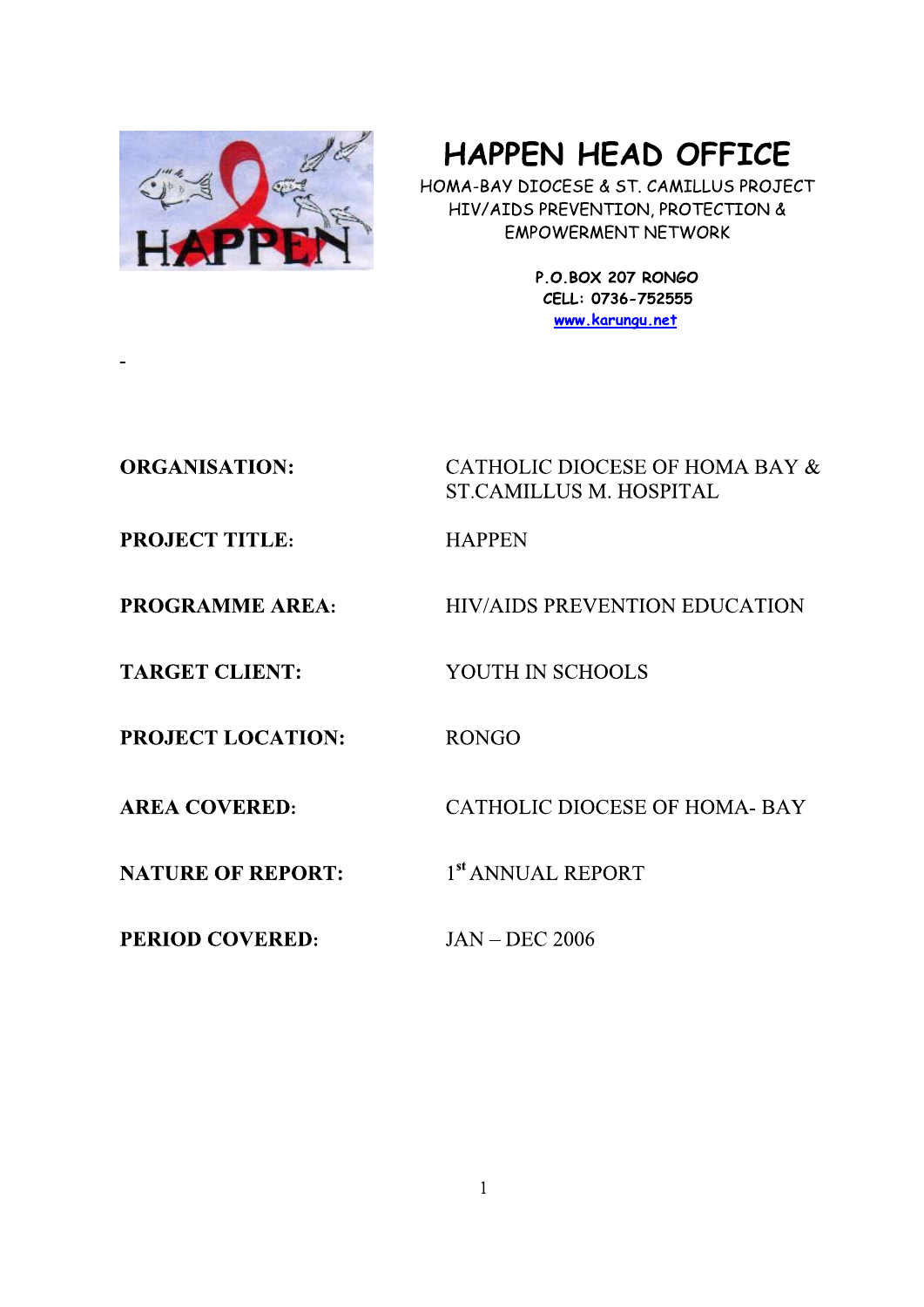

# **HAPPEN HEAD OFFICE**

HOMA-BAY DIOCESE & ST. CAMILLUS PROJECT HIV/AIDS PREVENTION, PROTECTION & **EMPOWERMENT NETWORK** 

> P.O.BOX 207 RONGO CELL: 0736-752555 www.karungu.net

# **ORGANISATION:**

CATHOLIC DIOCESE OF HOMA BAY & **ST.CAMILLUS M. HOSPITAL** 

**HIV/AIDS PREVENTION EDUCATION** 

**PROJECT TITLE:** 

**PROGRAMME AREA:** 

**TARGET CLIENT:** 

**PROJECT LOCATION:** 

**AREA COVERED:** 

**NATURE OF REPORT:** 

**PERIOD COVERED:** 

**RONGO** 

**HAPPEN** 

**CATHOLIC DIOCESE OF HOMA-BAY** 

1<sup>st</sup> ANNUAL REPORT

YOUTH IN SCHOOLS

**JAN - DEC 2006**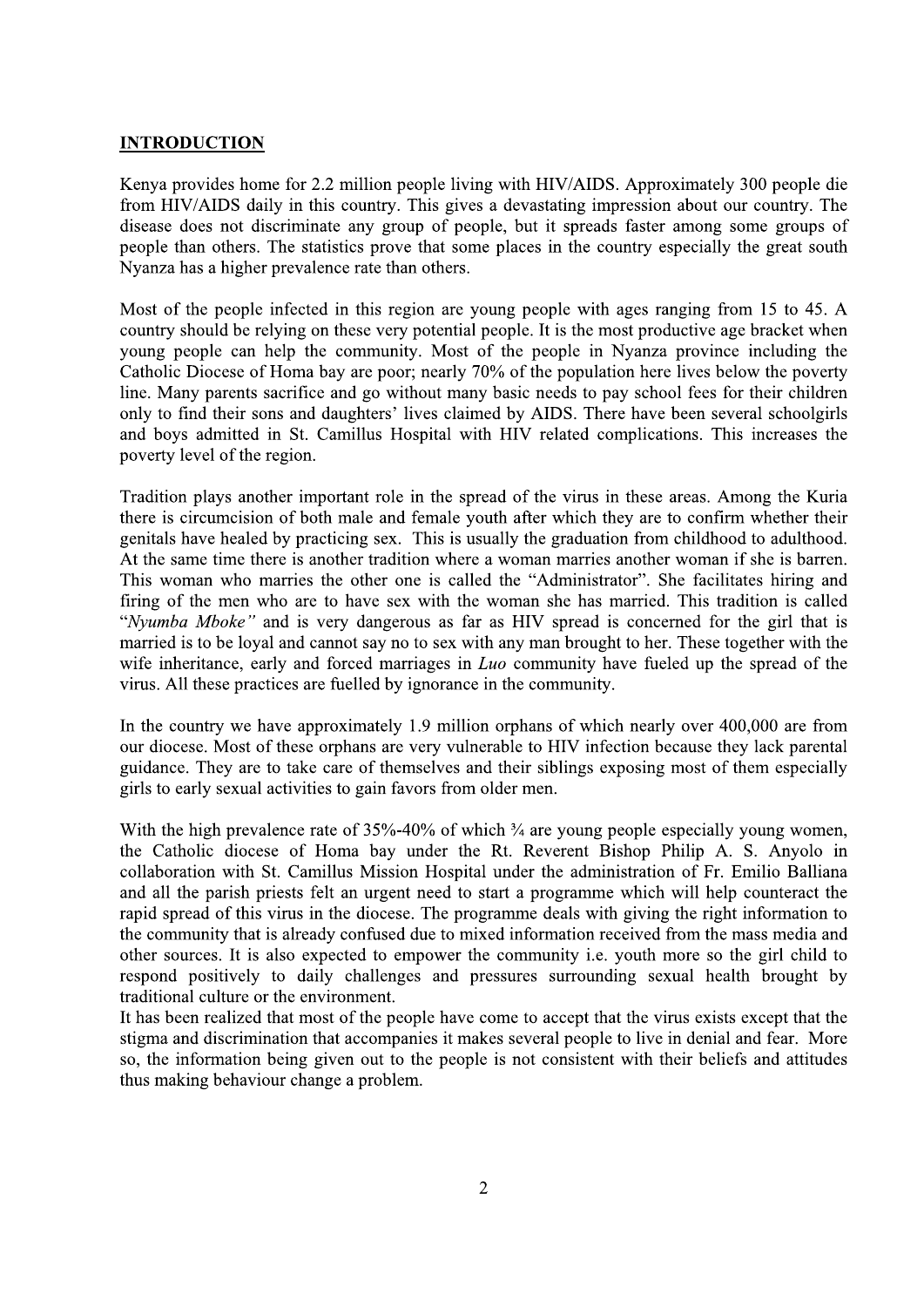#### **INTRODUCTION**

Kenya provides home for 2.2 million people living with HIV/AIDS. Approximately 300 people die from HIV/AIDS daily in this country. This gives a devastating impression about our country. The disease does not discriminate any group of people, but it spreads faster among some groups of people than others. The statistics prove that some places in the country especially the great south Nyanza has a higher prevalence rate than others.

Most of the people infected in this region are young people with ages ranging from 15 to 45. A country should be relying on these very potential people. It is the most productive age bracket when young people can help the community. Most of the people in Nyanza province including the Catholic Diocese of Homa bay are poor; nearly 70% of the population here lives below the poverty line. Many parents sacrifice and go without many basic needs to pay school fees for their children only to find their sons and daughters' lives claimed by AIDS. There have been several schoolgirls and boys admitted in St. Camillus Hospital with HIV related complications. This increases the poverty level of the region.

Tradition plays another important role in the spread of the virus in these areas. Among the Kuria there is circumcision of both male and female youth after which they are to confirm whether their genitals have healed by practicing sex. This is usually the graduation from childhood to adulthood. At the same time there is another tradition where a woman marries another woman if she is barren. This woman who marries the other one is called the "Administrator". She facilitates hiring and firing of the men who are to have sex with the woman she has married. This tradition is called "Nyumba Mboke" and is very dangerous as far as HIV spread is concerned for the girl that is married is to be loyal and cannot say no to sex with any man brought to her. These together with the wife inheritance, early and forced marriages in *Luo* community have fueled up the spread of the virus. All these practices are fuelled by ignorance in the community.

In the country we have approximately 1.9 million orphans of which nearly over 400,000 are from our diocese. Most of these orphans are very vulnerable to HIV infection because they lack parental guidance. They are to take care of themselves and their siblings exposing most of them especially girls to early sexual activities to gain favors from older men.

With the high prevalence rate of  $35\% - 40\%$  of which  $\frac{3}{4}$  are young people especially young women, the Catholic diocese of Homa bay under the Rt. Reverent Bishop Philip A. S. Anyolo in collaboration with St. Camillus Mission Hospital under the administration of Fr. Emilio Balliana and all the parish priests felt an urgent need to start a programme which will help counteract the rapid spread of this virus in the diocese. The programme deals with giving the right information to the community that is already confused due to mixed information received from the mass media and other sources. It is also expected to empower the community i.e. youth more so the girl child to respond positively to daily challenges and pressures surrounding sexual health brought by traditional culture or the environment.

It has been realized that most of the people have come to accept that the virus exists except that the stigma and discrimination that accompanies it makes several people to live in denial and fear. More so, the information being given out to the people is not consistent with their beliefs and attitudes thus making behaviour change a problem.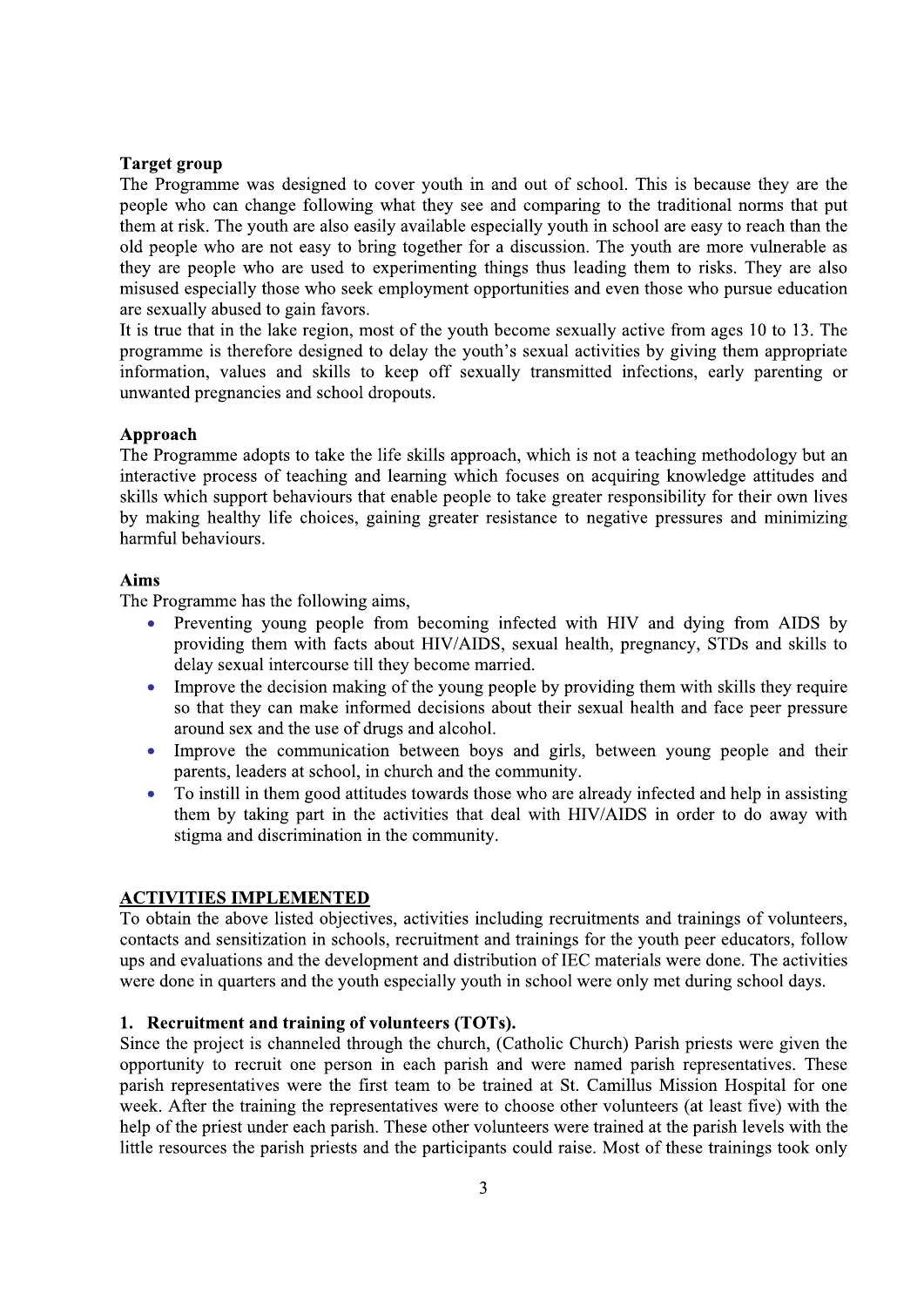#### **Target group**

The Programme was designed to cover youth in and out of school. This is because they are the people who can change following what they see and comparing to the traditional norms that put them at risk. The youth are also easily available especially youth in school are easy to reach than the old people who are not easy to bring together for a discussion. The youth are more vulnerable as they are people who are used to experimenting things thus leading them to risks. They are also misused especially those who seek employment opportunities and even those who pursue education are sexually abused to gain favors.

It is true that in the lake region, most of the youth become sexually active from ages 10 to 13. The programme is therefore designed to delay the youth's sexual activities by giving them appropriate information, values and skills to keep off sexually transmitted infections, early parenting or unwanted pregnancies and school dropouts.

#### Approach

The Programme adopts to take the life skills approach, which is not a teaching methodology but an interactive process of teaching and learning which focuses on acquiring knowledge attitudes and skills which support behaviours that enable people to take greater responsibility for their own lives by making healthy life choices, gaining greater resistance to negative pressures and minimizing harmful behaviours.

#### **Aims**

The Programme has the following aims,

- Preventing young people from becoming infected with HIV and dying from AIDS by providing them with facts about HIV/AIDS, sexual health, pregnancy, STDs and skills to delay sexual intercourse till they become married.
- $\bullet$ Improve the decision making of the young people by providing them with skills they require so that they can make informed decisions about their sexual health and face peer pressure around sex and the use of drugs and alcohol.
- Improve the communication between boys and girls, between young people and their parents, leaders at school, in church and the community.
- To instill in them good attitudes towards those who are already infected and help in assisting them by taking part in the activities that deal with HIV/AIDS in order to do away with stigma and discrimination in the community.

## **ACTIVITIES IMPLEMENTED**

To obtain the above listed objectives, activities including recruitments and trainings of volunteers, contacts and sensitization in schools, recruitment and trainings for the youth peer educators, follow ups and evaluations and the development and distribution of IEC materials were done. The activities were done in quarters and the youth especially youth in school were only met during school days.

### 1. Recruitment and training of volunteers (TOTs).

Since the project is channeled through the church, (Catholic Church) Parish priests were given the opportunity to recruit one person in each parish and were named parish representatives. These parish representatives were the first team to be trained at St. Camillus Mission Hospital for one week. After the training the representatives were to choose other volunteers (at least five) with the help of the priest under each parish. These other volunteers were trained at the parish levels with the little resources the parish priests and the participants could raise. Most of these trainings took only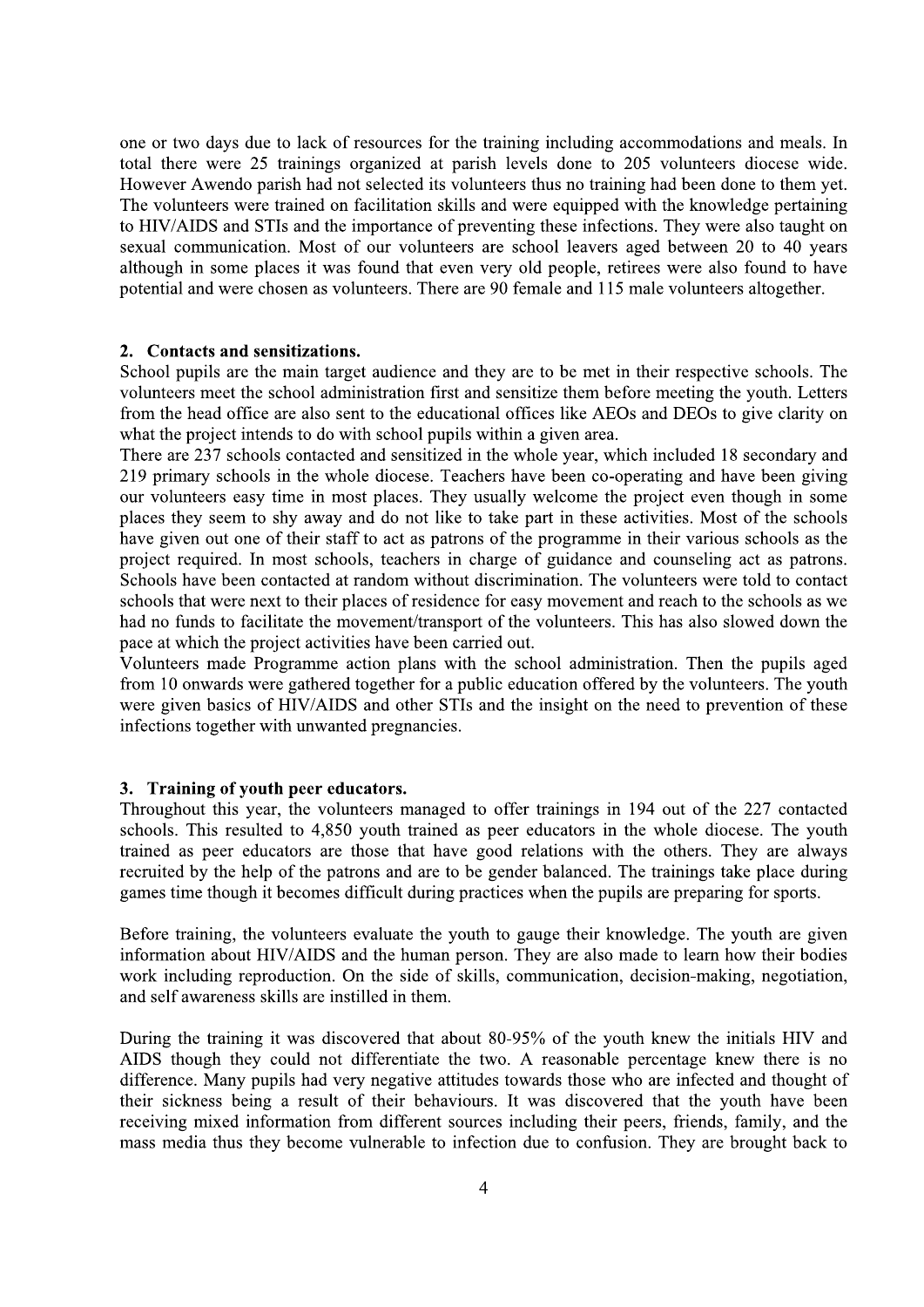one or two days due to lack of resources for the training including accommodations and meals. In total there were 25 trainings organized at parish levels done to 205 volunteers diocese wide. However Awendo parish had not selected its volunteers thus no training had been done to them yet. The volunteers were trained on facilitation skills and were equipped with the knowledge pertaining to HIV/AIDS and STIs and the importance of preventing these infections. They were also taught on sexual communication. Most of our volunteers are school leavers aged between 20 to 40 years although in some places it was found that even very old people, retirees were also found to have potential and were chosen as volunteers. There are 90 female and 115 male volunteers altogether.

#### 2. Contacts and sensitizations.

School pupils are the main target audience and they are to be met in their respective schools. The volunteers meet the school administration first and sensitize them before meeting the vouth. Letters from the head office are also sent to the educational offices like AEOs and DEOs to give clarity on what the project intends to do with school pupils within a given area.

There are 237 schools contacted and sensitized in the whole year, which included 18 secondary and 219 primary schools in the whole diocese. Teachers have been co-operating and have been giving our volunteers easy time in most places. They usually welcome the project even though in some places they seem to shy away and do not like to take part in these activities. Most of the schools have given out one of their staff to act as patrons of the programme in their various schools as the project required. In most schools, teachers in charge of guidance and counseling act as patrons. Schools have been contacted at random without discrimination. The volunteers were told to contact schools that were next to their places of residence for easy movement and reach to the schools as we had no funds to facilitate the movement/transport of the volunteers. This has also slowed down the pace at which the project activities have been carried out.

Volunteers made Programme action plans with the school administration. Then the pupils aged from 10 onwards were gathered together for a public education offered by the volunteers. The youth were given basics of HIV/AIDS and other STIs and the insight on the need to prevention of these infections together with unwanted pregnancies.

#### 3. Training of youth peer educators.

Throughout this year, the volunteers managed to offer trainings in 194 out of the 227 contacted schools. This resulted to 4,850 youth trained as peer educators in the whole diocese. The youth trained as peer educators are those that have good relations with the others. They are always recruited by the help of the patrons and are to be gender balanced. The trainings take place during games time though it becomes difficult during practices when the pupils are preparing for sports.

Before training, the volunteers evaluate the youth to gauge their knowledge. The youth are given information about HIV/AIDS and the human person. They are also made to learn how their bodies work including reproduction. On the side of skills, communication, decision-making, negotiation, and self awareness skills are instilled in them.

During the training it was discovered that about 80-95% of the youth knew the initials HIV and AIDS though they could not differentiate the two. A reasonable percentage knew there is no difference. Many pupils had very negative attitudes towards those who are infected and thought of their sickness being a result of their behaviours. It was discovered that the youth have been receiving mixed information from different sources including their peers, friends, family, and the mass media thus they become vulnerable to infection due to confusion. They are brought back to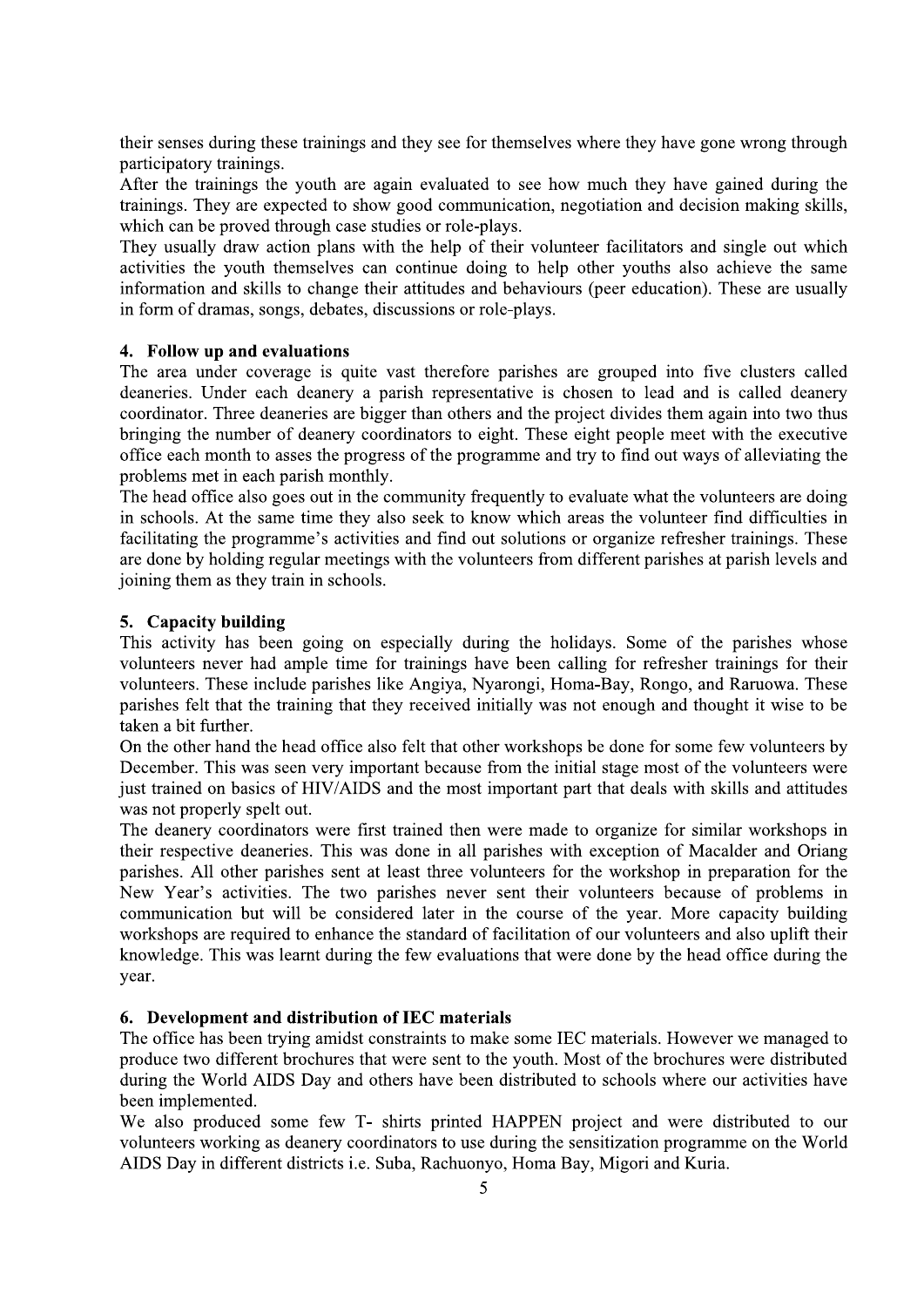their senses during these trainings and they see for themselves where they have gone wrong through participatory trainings.

After the trainings the youth are again evaluated to see how much they have gained during the trainings. They are expected to show good communication, negotiation and decision making skills, which can be proved through case studies or role-plays.

They usually draw action plans with the help of their volunteer facilitators and single out which activities the youth themselves can continue doing to help other youths also achieve the same information and skills to change their attitudes and behaviours (peer education). These are usually in form of dramas, songs, debates, discussions or role-plays.

#### 4. Follow up and evaluations

The area under coverage is quite vast therefore parishes are grouped into five clusters called deaneries. Under each deanery a parish representative is chosen to lead and is called deanery coordinator. Three deaneries are bigger than others and the project divides them again into two thus bringing the number of deanery coordinators to eight. These eight people meet with the executive office each month to asses the progress of the programme and try to find out ways of alleviating the problems met in each parish monthly.

The head office also goes out in the community frequently to evaluate what the volunteers are doing in schools. At the same time they also seek to know which areas the volunteer find difficulties in facilitating the programme's activities and find out solutions or organize refresher trainings. These are done by holding regular meetings with the volunteers from different parishes at parish levels and joining them as they train in schools.

#### 5. Capacity building

This activity has been going on especially during the holidays. Some of the parishes whose volunteers never had ample time for trainings have been calling for refresher trainings for their volunteers. These include parishes like Angiya, Nyarongi, Homa-Bay, Rongo, and Raruowa. These parishes felt that the training that they received initially was not enough and thought it wise to be taken a bit further.

On the other hand the head office also felt that other workshops be done for some few volunteers by December. This was seen very important because from the initial stage most of the volunteers were just trained on basics of HIV/AIDS and the most important part that deals with skills and attitudes was not properly spelt out.

The deanery coordinators were first trained then were made to organize for similar workshops in their respective deaneries. This was done in all parishes with exception of Macalder and Oriang parishes. All other parishes sent at least three volunteers for the workshop in preparation for the New Year's activities. The two parishes never sent their volunteers because of problems in communication but will be considered later in the course of the year. More capacity building workshops are required to enhance the standard of facilitation of our volunteers and also uplift their knowledge. This was learnt during the few evaluations that were done by the head office during the year.

#### 6. Development and distribution of IEC materials

The office has been trying amidst constraints to make some IEC materials. However we managed to produce two different brochures that were sent to the youth. Most of the brochures were distributed during the World AIDS Day and others have been distributed to schools where our activities have been implemented.

We also produced some few T- shirts printed HAPPEN project and were distributed to our volunteers working as deanery coordinators to use during the sensitization programme on the World AIDS Day in different districts i.e. Suba, Rachuonyo, Homa Bay, Migori and Kuria.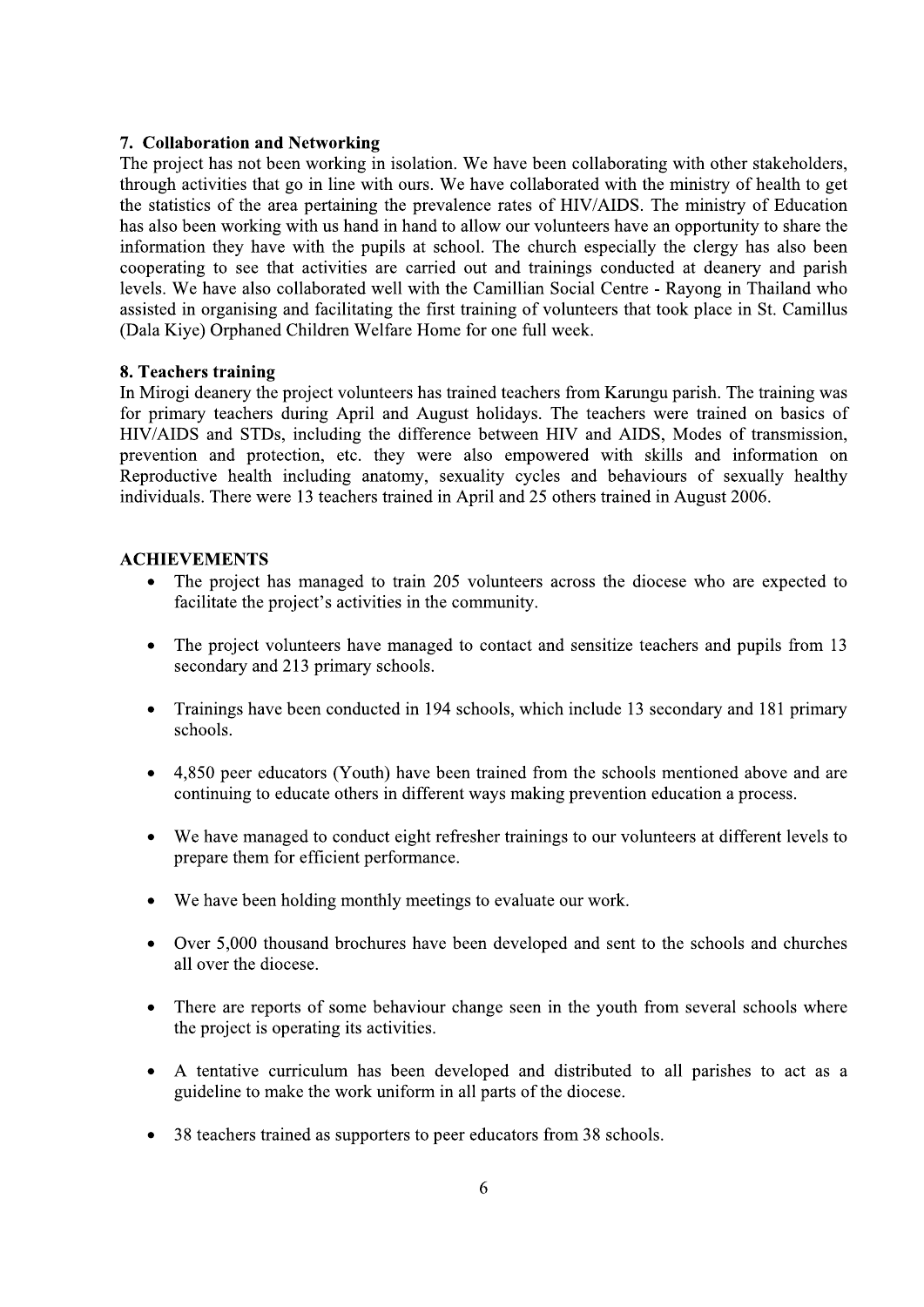#### 7. Collaboration and Networking

The project has not been working in isolation. We have been collaborating with other stakeholders, through activities that go in line with ours. We have collaborated with the ministry of health to get the statistics of the area pertaining the prevalence rates of HIV/AIDS. The ministry of Education has also been working with us hand in hand to allow our volunteers have an opportunity to share the information they have with the pupils at school. The church especially the clergy has also been cooperating to see that activities are carried out and trainings conducted at deanery and parish levels. We have also collaborated well with the Camillian Social Centre - Rayong in Thailand who assisted in organising and facilitating the first training of volunteers that took place in St. Camillus (Dala Kiye) Orphaned Children Welfare Home for one full week.

#### 8. Teachers training

In Mirogi deanery the project volunteers has trained teachers from Karungu parish. The training was for primary teachers during April and August holidays. The teachers were trained on basics of HIV/AIDS and STDs, including the difference between HIV and AIDS, Modes of transmission, prevention and protection, etc. they were also empowered with skills and information on Reproductive health including anatomy, sexuality cycles and behaviours of sexually healthy individuals. There were 13 teachers trained in April and 25 others trained in August 2006.

#### **ACHIEVEMENTS**

- The project has managed to train 205 volunteers across the diocese who are expected to  $\bullet$ facilitate the project's activities in the community.
- $\bullet$ The project volunteers have managed to contact and sensitize teachers and pupils from 13 secondary and 213 primary schools.
- Trainings have been conducted in 194 schools, which include 13 secondary and 181 primary  $\bullet$ schools.
- 4,850 peer educators (Youth) have been trained from the schools mentioned above and are continuing to educate others in different ways making prevention education a process.
- We have managed to conduct eight refresher trainings to our volunteers at different levels to prepare them for efficient performance.
- We have been holding monthly meetings to evaluate our work.
- Over 5,000 thousand brochures have been developed and sent to the schools and churches all over the diocese
- There are reports of some behaviour change seen in the youth from several schools where the project is operating its activities.
- A tentative curriculum has been developed and distributed to all parishes to act as a guideline to make the work uniform in all parts of the diocese.
- 38 teachers trained as supporters to peer educators from 38 schools.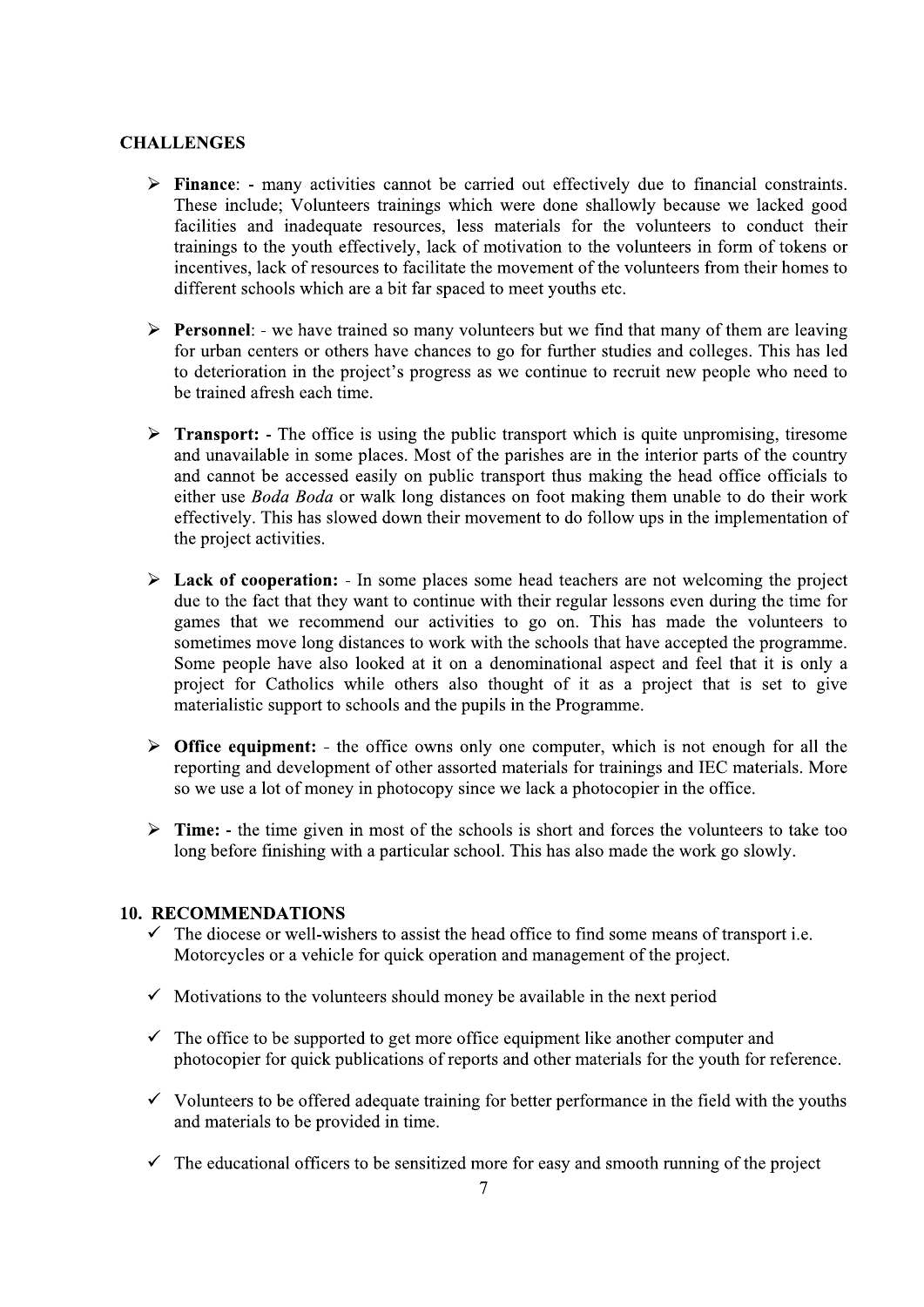#### **CHALLENGES**

- $\triangleright$  Finance: many activities cannot be carried out effectively due to financial constraints. These include; Volunteers trainings which were done shallowly because we lacked good facilities and inadequate resources, less materials for the volunteers to conduct their trainings to the youth effectively, lack of motivation to the volunteers in form of tokens or incentives, lack of resources to facilitate the movement of the volunteers from their homes to different schools which are a bit far spaced to meet youths etc.
- $\triangleright$  **Personnel:** we have trained so many volunteers but we find that many of them are leaving for urban centers or others have chances to go for further studies and colleges. This has led to deterioration in the project's progress as we continue to recruit new people who need to be trained afresh each time.
- **Transport:** The office is using the public transport which is quite unpromising, tiresome  $\blacktriangleright$ and unavailable in some places. Most of the parishes are in the interior parts of the country and cannot be accessed easily on public transport thus making the head office officials to either use *Boda Boda* or walk long distances on foot making them unable to do their work effectively. This has slowed down their movement to do follow ups in the implementation of the project activities.
- $\triangleright$  Lack of cooperation: In some places some head teachers are not welcoming the project due to the fact that they want to continue with their regular lessons even during the time for games that we recommend our activities to go on. This has made the volunteers to sometimes move long distances to work with the schools that have accepted the programme. Some people have also looked at it on a denominational aspect and feel that it is only a project for Catholics while others also thought of it as a project that is set to give materialistic support to schools and the pupils in the Programme.
- $\triangleright$  Office equipment: the office owns only one computer, which is not enough for all the reporting and development of other assorted materials for trainings and IEC materials. More so we use a lot of money in photocopy since we lack a photocopier in the office.
- Time: the time given in most of the schools is short and forces the volunteers to take too  $\blacktriangleright$ long before finishing with a particular school. This has also made the work go slowly.

#### **10. RECOMMENDATIONS**

- $\checkmark$  The diocese or well-wishers to assist the head office to find some means of transport i.e. Motorcycles or a vehicle for quick operation and management of the project.
- $\checkmark$  Motivations to the volunteers should money be available in the next period
- $\checkmark$  The office to be supported to get more office equipment like another computer and photocopier for quick publications of reports and other materials for the youth for reference.
- $\checkmark$  Volunteers to be offered adequate training for better performance in the field with the youths and materials to be provided in time.
- $\checkmark$  The educational officers to be sensitized more for easy and smooth running of the project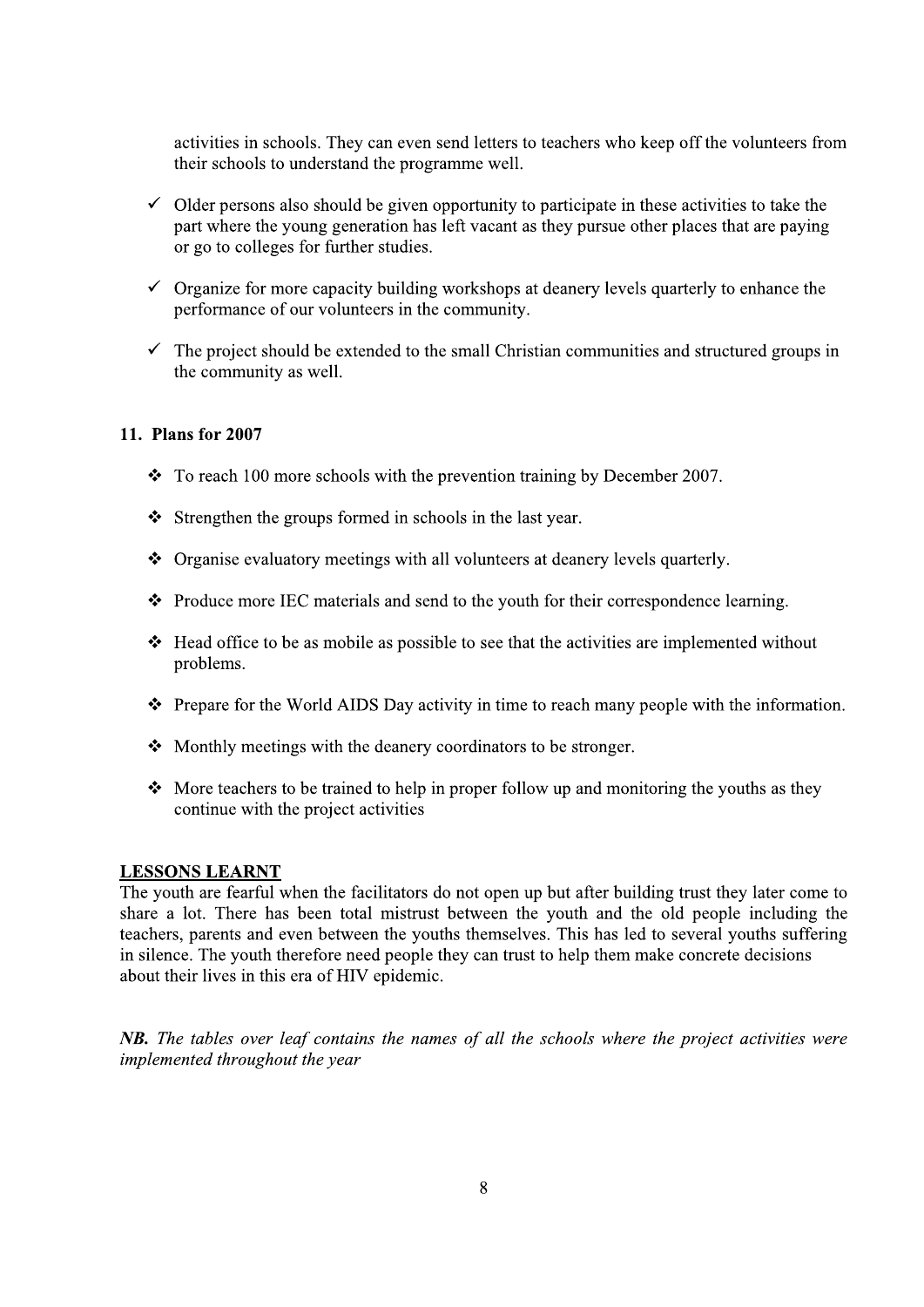activities in schools. They can even send letters to teachers who keep off the volunteers from their schools to understand the programme well.

- $\checkmark$  Older persons also should be given opportunity to participate in these activities to take the part where the young generation has left vacant as they pursue other places that are paying or go to colleges for further studies.
- $\checkmark$  Organize for more capacity building workshops at deanery levels quarterly to enhance the performance of our volunteers in the community.
- $\checkmark$  The project should be extended to the small Christian communities and structured groups in the community as well.

#### 11. Plans for 2007

- $\div$  To reach 100 more schools with the prevention training by December 2007.
- Strengthen the groups formed in schools in the last year.
- ❖ Organise evaluatory meetings with all volunteers at deanery levels quarterly.
- $\div$  Produce more IEC materials and send to the youth for their correspondence learning.
- $\div$  Head office to be as mobile as possible to see that the activities are implemented without problems.
- $\hat{\mathbf{\cdot}}$  Prepare for the World AIDS Day activity in time to reach many people with the information.
- $\triangle$  Monthly meetings with the deanery coordinators to be stronger.
- $\bullet$  More teachers to be trained to help in proper follow up and monitoring the youths as they continue with the project activities

#### **LESSONS LEARNT**

The youth are fearful when the facilitators do not open up but after building trust they later come to share a lot. There has been total mistrust between the youth and the old people including the teachers, parents and even between the youths themselves. This has led to several youths suffering in silence. The youth therefore need people they can trust to help them make concrete decisions about their lives in this era of HIV epidemic.

NB. The tables over leaf contains the names of all the schools where the project activities were implemented throughout the year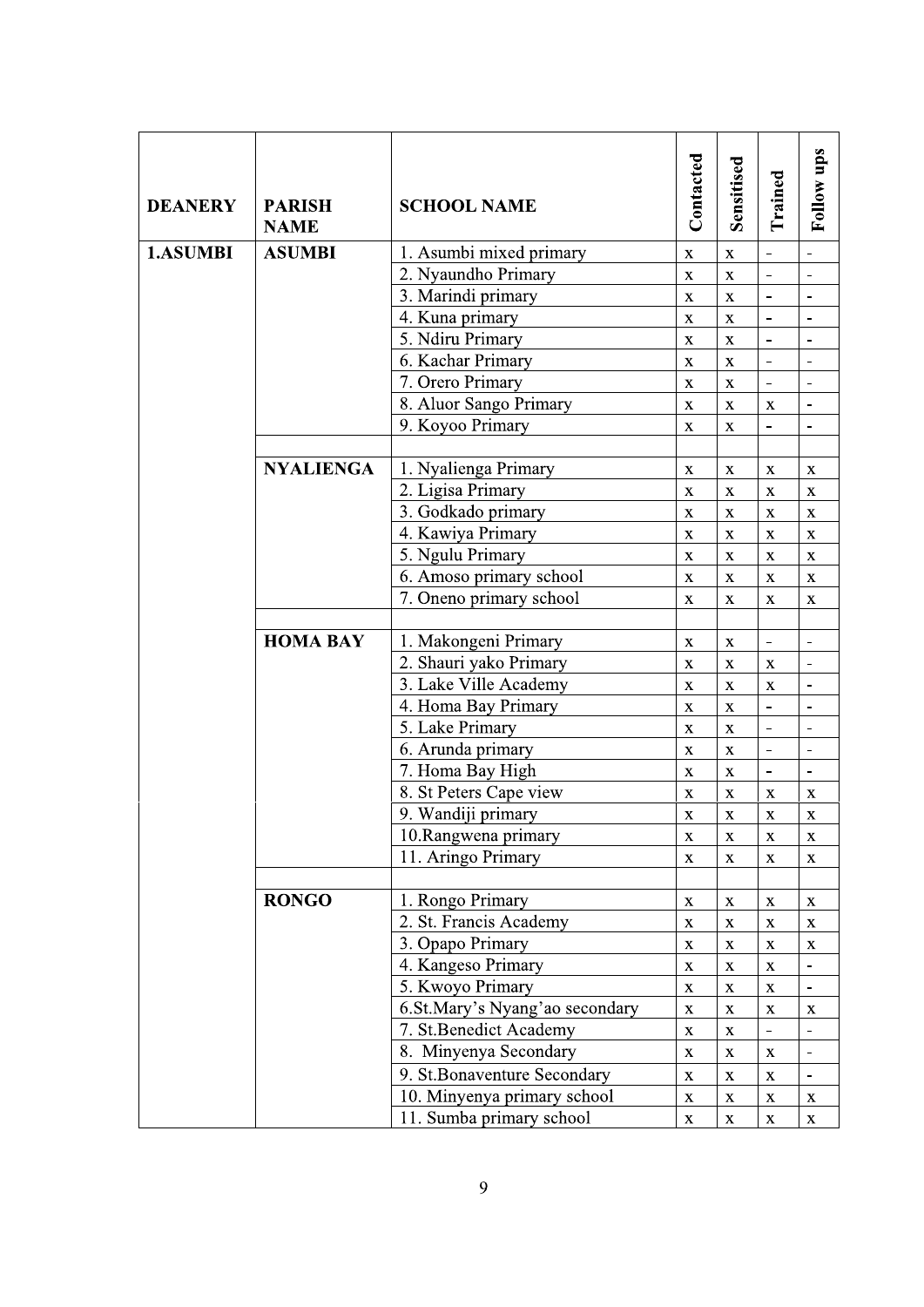| <b>DEANERY</b> | <b>PARISH</b><br><b>NAME</b> | <b>SCHOOL NAME</b>             | Contacted    | Sensitised              | Trained                      | Follow ups                   |
|----------------|------------------------------|--------------------------------|--------------|-------------------------|------------------------------|------------------------------|
| 1.ASUMBI       | <b>ASUMBI</b>                | 1. Asumbi mixed primary        | $\mathbf X$  | $\mathbf X$             | $\frac{1}{2}$                |                              |
|                |                              | 2. Nyaundho Primary            | $\mathbf X$  | $\bar{\mathbf{X}}$      | $\overline{a}$               | $\blacksquare$               |
|                |                              | 3. Marindi primary             | $\mathbf X$  | $\mathbf X$             | $\overline{a}$               |                              |
|                |                              | 4. Kuna primary                | $\mathbf X$  | $\mathbf X$             | $\frac{1}{2}$                |                              |
|                |                              | 5. Ndiru Primary               | $\mathbf X$  | $\bar{\mathbf{X}}$      | $\frac{1}{2}$                | $\blacksquare$               |
|                |                              | 6. Kachar Primary              | $\mathbf X$  | $\mathbf X$             | $\qquad \qquad \blacksquare$ | $\overline{\phantom{a}}$     |
|                |                              | 7. Orero Primary               | $\mathbf X$  | $\mathbf X$             | $\overline{a}$               |                              |
|                |                              | 8. Aluor Sango Primary         | $\mathbf X$  | $\bar{\mathbf{X}}$      | $\mathbf X$                  | $\overline{a}$               |
|                |                              | 9. Koyoo Primary               | $\mathbf X$  | $\mathbf X$             | $\qquad \qquad \blacksquare$ | $\overline{\phantom{a}}$     |
|                | <b>NYALIENGA</b>             | 1. Nyalienga Primary           | $\mathbf X$  | $\mathbf X$             | $\mathbf X$                  | $\mathbf X$                  |
|                |                              | 2. Ligisa Primary              | $\mathbf X$  | $\mathbf X$             | $\mathbf X$                  | $\mathbf X$                  |
|                |                              | 3. Godkado primary             | $\mathbf X$  | $\mathbf X$             | $\mathbf X$                  | $\mathbf X$                  |
|                |                              | 4. Kawiya Primary              | $\mathbf X$  | $\mathbf X$             | $\mathbf X$                  | $\mathbf X$                  |
|                |                              | 5. Ngulu Primary               | $\mathbf X$  | $\mathbf X$             | $\mathbf X$                  | $\mathbf X$                  |
|                |                              | 6. Amoso primary school        | $\mathbf X$  | $\mathbf X$             | $\mathbf X$                  | $\mathbf X$                  |
|                |                              | 7. Oneno primary school        | $\mathbf{X}$ | $\mathbf X$             | $\mathbf X$                  | $\mathbf X$                  |
|                |                              |                                |              |                         |                              |                              |
|                | <b>HOMA BAY</b>              | 1. Makongeni Primary           | $\mathbf X$  | $\mathbf X$             | $\blacksquare$               | $\blacksquare$               |
|                |                              | 2. Shauri yako Primary         | $\mathbf X$  | $\mathbf X$             | $\mathbf X$                  |                              |
|                |                              | 3. Lake Ville Academy          | $\mathbf X$  | $\bar{\mathbf{X}}$      | $\mathbf X$                  | $\overline{a}$               |
|                |                              | 4. Homa Bay Primary            | $\mathbf X$  | $\mathbf X$             | $\qquad \qquad \blacksquare$ | $\overline{\phantom{a}}$     |
|                |                              | 5. Lake Primary                | $\mathbf X$  | $\mathbf X$             | $\frac{1}{2}$                |                              |
|                |                              | 6. Arunda primary              | $\mathbf X$  | $\mathbf X$             | $\overline{a}$               | $\overline{\phantom{a}}$     |
|                |                              | 7. Homa Bay High               | X            | X                       | $\frac{1}{2}$                | $\overline{\phantom{a}}$     |
|                |                              | 8. St Peters Cape view         | $\mathbf X$  | $\mathbf X$             | $\mathbf X$                  | $\mathbf X$                  |
|                |                              | 9. Wandiji primary             | $\mathbf X$  | $\overline{\mathbf{x}}$ | $\bar{\mathbf{x}}$           | $\mathbf X$                  |
|                |                              | 10.Rangwena primary            | $\mathbf X$  | $\mathbf X$             | $\mathbf X$                  | X                            |
|                |                              | 11. Aringo Primary             | $\mathbf X$  | $\mathbf X$             | $\mathbf X$                  | $\mathbf X$                  |
|                | <b>RONGO</b>                 | 1. Rongo Primary               | $\mathbf X$  | $\mathbf X$             | $\mathbf X$                  | $\mathbf X$                  |
|                |                              | 2. St. Francis Academy         | $\mathbf X$  | $\bar{\mathbf{X}}$      | $\mathbf X$                  | $\mathbf X$                  |
|                |                              | 3. Opapo Primary               | $\mathbf X$  | $\mathbf X$             | $\mathbf X$                  | $\mathbf X$                  |
|                |                              | 4. Kangeso Primary             | $\mathbf X$  | $\mathbf X$             | $\mathbf X$                  |                              |
|                |                              | 5. Kwoyo Primary               | $\mathbf X$  | $\mathbf X$             | $\mathbf X$                  |                              |
|                |                              | 6.St.Mary's Nyang'ao secondary | $\mathbf X$  | $\mathbf X$             | $\mathbf X$                  | X                            |
|                |                              | 7. St.Benedict Academy         | $\mathbf X$  | $\mathbf X$             | $\qquad \qquad \blacksquare$ |                              |
|                |                              | 8. Minyenya Secondary          | $\mathbf X$  | $\mathbf X$             | $\mathbf X$                  | $\qquad \qquad \blacksquare$ |
|                |                              | 9. St.Bonaventure Secondary    | $\mathbf X$  | $\bar{\mathbf{X}}$      | $\mathbf X$                  | $\overline{\phantom{a}}$     |
|                |                              | 10. Minyenya primary school    | $\mathbf X$  | $\mathbf X$             | $\mathbf X$                  | $\mathbf X$                  |
|                |                              | 11. Sumba primary school       | $\mathbf X$  | $\mathbf X$             | $\mathbf X$                  | $\mathbf X$                  |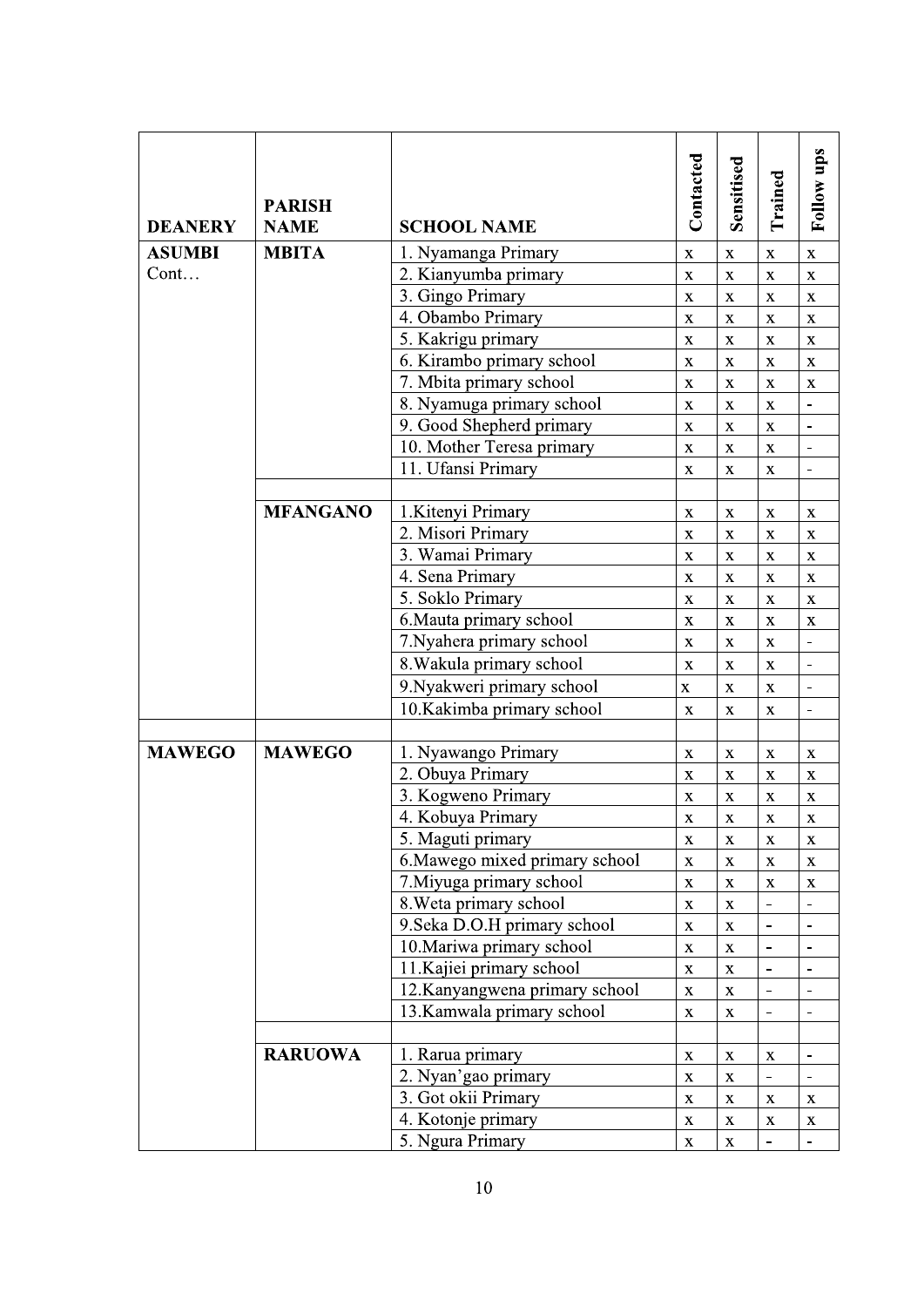| <b>DEANERY</b> | <b>PARISH</b><br><b>NAME</b> | <b>SCHOOL NAME</b>             | Contacted          | Sensitised         | Trained                      | <b>Follow ups</b>        |
|----------------|------------------------------|--------------------------------|--------------------|--------------------|------------------------------|--------------------------|
| <b>ASUMBI</b>  | <b>MBITA</b>                 | 1. Nyamanga Primary            | $\mathbf X$        | $\mathbf X$        | $\mathbf X$                  | $\mathbf X$              |
| Cont           |                              | 2. Kianyumba primary           | $\mathbf X$        | $\mathbf X$        | $\mathbf X$                  | $\mathbf X$              |
|                |                              | 3. Gingo Primary               | $\mathbf X$        | $\mathbf X$        | $\mathbf X$                  | $\mathbf X$              |
|                |                              | 4. Obambo Primary              | $\mathbf X$        | $\mathbf X$        | $\mathbf X$                  | $\mathbf X$              |
|                |                              | 5. Kakrigu primary             | $\mathbf X$        | $\mathbf X$        | $\mathbf X$                  | X                        |
|                |                              | 6. Kirambo primary school      | $\mathbf X$        | $\mathbf X$        | $\mathbf X$                  | X                        |
|                |                              | 7. Mbita primary school        | $\mathbf X$        | $\mathbf X$        | $\mathbf X$                  | $\mathbf X$              |
|                |                              | 8. Nyamuga primary school      | $\mathbf X$        | $\bar{\mathbf{X}}$ | $\mathbf X$                  |                          |
|                |                              | 9. Good Shepherd primary       | $\mathbf X$        | $\mathbf X$        | $\mathbf X$                  |                          |
|                |                              | 10. Mother Teresa primary      | $\mathbf X$        | $\mathbf X$        | $\mathbf X$                  | $\overline{\phantom{a}}$ |
|                |                              | 11. Ufansi Primary             | $\mathbf X$        | $\mathbf X$        | $\mathbf X$                  |                          |
|                | <b>MFANGANO</b>              | 1. Kitenyi Primary             | $\mathbf X$        | $\mathbf X$        | $\mathbf X$                  | $\mathbf X$              |
|                |                              | 2. Misori Primary              | $\mathbf X$        | $\mathbf X$        | $\mathbf X$                  | $\mathbf X$              |
|                |                              | 3. Wamai Primary               | $\mathbf X$        | $\mathbf X$        | $\mathbf X$                  | $\mathbf X$              |
|                |                              | 4. Sena Primary                | $\mathbf X$        | $\mathbf X$        | $\mathbf X$                  | $\mathbf X$              |
|                |                              | 5. Soklo Primary               | $\mathbf X$        | $\mathbf X$        | $\mathbf X$                  | $\mathbf X$              |
|                |                              | 6. Mauta primary school        | $\mathbf X$        | $\mathbf X$        | $\mathbf X$                  | $\mathbf X$              |
|                |                              | 7. Nyahera primary school      | $\mathbf X$        | $\mathbf X$        | $\mathbf X$                  | $\blacksquare$           |
|                |                              | 8. Wakula primary school       | $\mathbf X$        | $\mathbf X$        | $\mathbf X$                  |                          |
|                |                              | 9. Nyakweri primary school     | $\mathbf X$        | X                  | X                            |                          |
|                |                              | 10.Kakimba primary school      | $\mathbf X$        | X                  | X                            |                          |
|                |                              |                                |                    |                    |                              |                          |
| <b>MAWEGO</b>  | <b>MAWEGO</b>                | 1. Nyawango Primary            | X                  | X                  | $\mathbf X$                  | X                        |
|                |                              | 2. Obuya Primary               | $\mathbf X$        | $\mathbf X$        | $\mathbf X$                  | $\mathbf X$              |
|                |                              | 3. Kogweno Primary             | $\mathbf X$        | $\bar{\mathbf{X}}$ | $\mathbf X$                  | $\mathbf X$              |
|                |                              | 4. Kobuya Primary              | $\mathbf X$        | $\mathbf X$        | $\mathbf X$                  | $\mathbf X$              |
|                |                              | 5. Maguti primary              | $\mathbf X$        | $\mathbf X$        | $\mathbf X$                  | $\mathbf X$              |
|                |                              | 6. Mawego mixed primary school | $\mathbf X$        | $\bar{\mathbf{X}}$ | $\mathbf X$                  | $\mathbf X$              |
|                |                              | 7. Miyuga primary school       | $\mathbf X$        | $\mathbf X$        | $\mathbf X$                  | X                        |
|                |                              | 8. Weta primary school         | $\mathbf X$        | $\mathbf X$        | $\qquad \qquad \blacksquare$ | $\overline{\phantom{a}}$ |
|                |                              | 9. Seka D.O.H primary school   | $\mathbf X$        | $\mathbf X$        | $\frac{1}{2}$                |                          |
|                |                              | 10. Mariwa primary school      | $\mathbf X$        | $\mathbf X$        |                              |                          |
|                |                              | 11. Kajiei primary school      | $\mathbf X$        | $\mathbf X$        | $\overline{\phantom{a}}$     |                          |
|                |                              | 12.Kanyangwena primary school  | $\bar{\mathbf{X}}$ | $\bar{\mathbf{X}}$ | $\frac{1}{2}$                |                          |
|                |                              | 13. Kamwala primary school     | $\mathbf X$        | $\mathbf X$        |                              |                          |
|                | <b>RARUOWA</b>               | 1. Rarua primary               | $\bar{\mathbf{X}}$ | $\mathbf X$        | $\mathbf X$                  |                          |
|                |                              | 2. Nyan'gao primary            | $\mathbf X$        | $\bar{\mathbf{X}}$ | $\qquad \qquad \blacksquare$ |                          |
|                |                              | 3. Got okii Primary            | $\mathbf X$        | $\mathbf X$        | X                            | X                        |
|                |                              | 4. Kotonje primary             | $\mathbf X$        | $\mathbf X$        | $\mathbf X$                  | X                        |
|                |                              | 5. Ngura Primary               | $\bar{\mathbf{X}}$ | $\bar{\mathbf{X}}$ |                              |                          |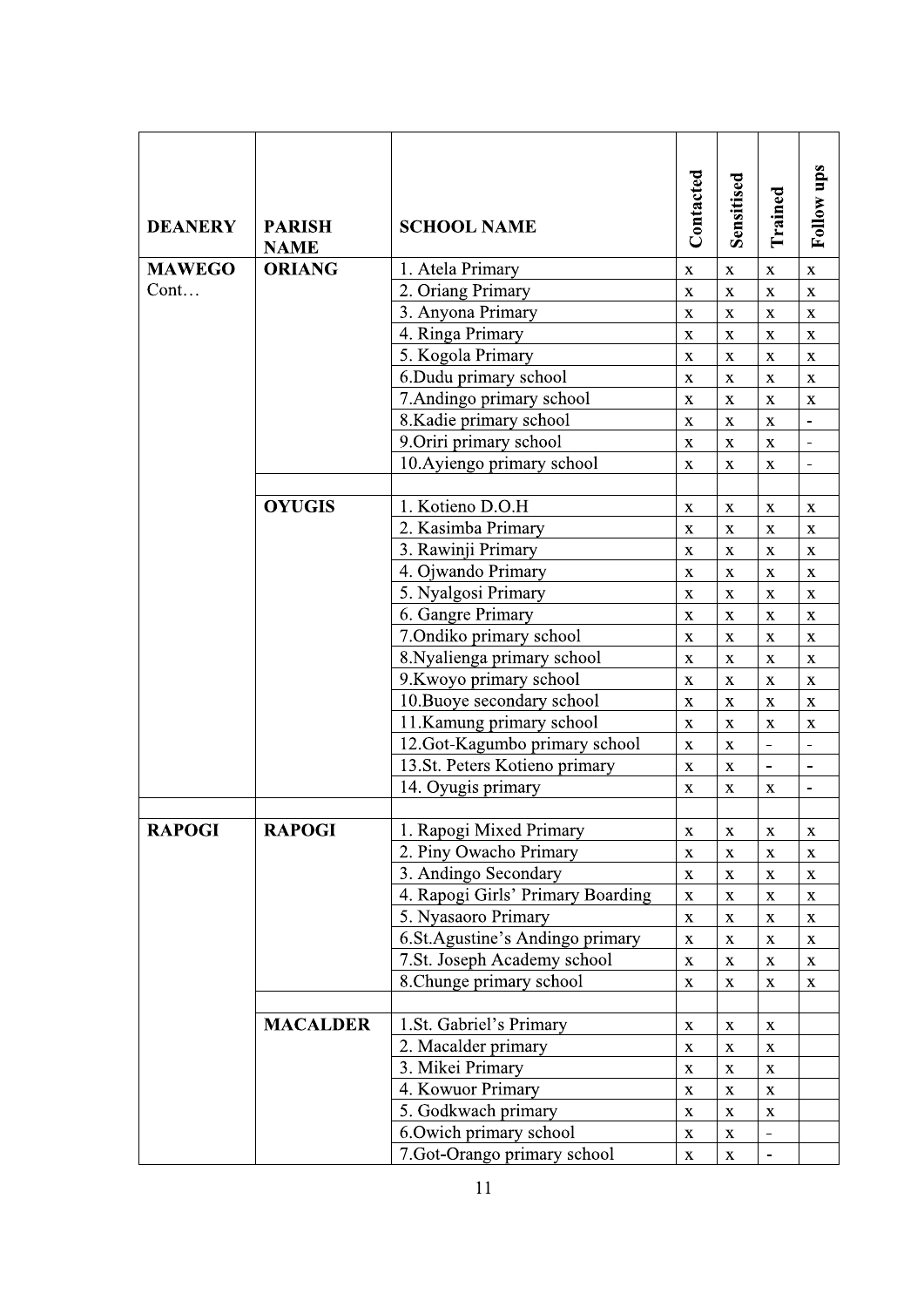| <b>DEANERY</b> | <b>PARISH</b><br><b>NAME</b> | <b>SCHOOL NAME</b>                | Contacted   | Sensitised         | Trained                  | Follow ups               |
|----------------|------------------------------|-----------------------------------|-------------|--------------------|--------------------------|--------------------------|
| <b>MAWEGO</b>  | <b>ORIANG</b>                | 1. Atela Primary                  | $\mathbf X$ | $\mathbf X$        | $\mathbf X$              | $\mathbf X$              |
| $Cont.$        |                              | 2. Oriang Primary                 | $\mathbf X$ | $\mathbf X$        | $\mathbf X$              | $\mathbf X$              |
|                |                              | 3. Anyona Primary                 | $\mathbf X$ | $\mathbf X$        | $\mathbf X$              | X                        |
|                |                              | 4. Ringa Primary                  | $\mathbf X$ | X                  | X                        | X                        |
|                |                              | 5. Kogola Primary                 | $\mathbf X$ | X                  | $\mathbf{X}$             | $\mathbf X$              |
|                |                              | 6.Dudu primary school             | $\mathbf X$ | $\mathbf X$        | $\mathbf X$              | $\mathbf X$              |
|                |                              | 7. Andingo primary school         | $\mathbf X$ | $\mathbf{X}$       | $\mathbf X$              | $\mathbf X$              |
|                |                              | 8. Kadie primary school           | $\mathbf X$ | $\mathbf X$        | $\mathbf X$              |                          |
|                |                              | 9. Oriri primary school           | $\mathbf X$ | $\mathbf X$        | $\mathbf X$              | $\overline{\phantom{0}}$ |
|                |                              | 10. Ayiengo primary school        | $\mathbf X$ | $\mathbf X$        | $\mathbf X$              | $\overline{\phantom{0}}$ |
|                |                              |                                   |             |                    |                          |                          |
|                | <b>OYUGIS</b>                | 1. Kotieno D.O.H                  | $\mathbf X$ | X                  | $\mathbf X$              | X                        |
|                |                              | 2. Kasimba Primary                | X           | $\mathbf X$        | $\mathbf X$              | X                        |
|                |                              | 3. Rawinji Primary                | X           | X                  | X                        | X                        |
|                |                              | 4. Ojwando Primary                | $\mathbf X$ | $\bf{X}$           | $\bf{X}$                 | $\mathbf X$              |
|                |                              | 5. Nyalgosi Primary               | $\mathbf X$ | $\mathbf X$        | $\mathbf X$              | $\mathbf X$              |
|                |                              | 6. Gangre Primary                 | $\mathbf X$ | $\mathbf X$        | $\mathbf X$              | $\mathbf{X}$             |
|                |                              | 7.Ondiko primary school           | $\mathbf X$ | $\mathbf X$        | $\mathbf X$              | $\mathbf X$              |
|                |                              | 8. Nyalienga primary school       | $\mathbf X$ | $\mathbf X$        | $\mathbf X$              | $\mathbf{X}$             |
|                |                              | 9. Kwoyo primary school           | $\mathbf X$ | $\mathbf X$        | $\mathbf X$              | $\mathbf X$              |
|                |                              | 10. Buoye secondary school        | $\mathbf X$ | $\mathbf X$        | $\mathbf X$              | $\mathbf X$              |
|                |                              | 11.Kamung primary school          | $\mathbf X$ | X                  | $\mathbf X$              | X                        |
|                |                              | 12.Got-Kagumbo primary school     | $\mathbf X$ | X                  | $\overline{\phantom{a}}$ | $\overline{a}$           |
|                |                              | 13.St. Peters Kotieno primary     | $\mathbf X$ | $\mathbf X$        | $\blacksquare$           |                          |
|                |                              | 14. Oyugis primary                | X           | X                  | X                        |                          |
|                |                              |                                   |             |                    |                          |                          |
| <b>RAPOGI</b>  | <b>RAPOGI</b>                | 1. Rapogi Mixed Primary           | $\mathbf X$ | $\mathbf X$        | $\mathbf X$              | $\mathbf X$              |
|                |                              | 2. Piny Owacho Primary            | $\mathbf X$ | $\mathbf X$        | $\mathbf X$              | $\mathbf X$              |
|                |                              | 3. Andingo Secondary              | $\mathbf X$ | $\mathbf X$        | $\mathbf X$              | $\mathbf X$              |
|                |                              | 4. Rapogi Girls' Primary Boarding | $\mathbf X$ | $\mathbf X$        | $\mathbf X$              | $\mathbf X$              |
|                |                              | 5. Nyasaoro Primary               | $\mathbf X$ | $\bar{\mathbf{X}}$ | $\mathbf X$              | $\mathbf X$              |
|                |                              | 6.St.Agustine's Andingo primary   | $\mathbf X$ | $\mathbf X$        | X                        | $\mathbf X$              |
|                |                              | 7.St. Joseph Academy school       | $\mathbf X$ | $\mathbf X$        | X                        | $\mathbf X$              |
|                |                              | 8. Chunge primary school          | $\mathbf X$ | X                  | $\mathbf X$              | $\mathbf X$              |
|                |                              |                                   |             |                    |                          |                          |
|                | <b>MACALDER</b>              | 1.St. Gabriel's Primary           | $\mathbf X$ | X                  | X                        |                          |
|                |                              | 2. Macalder primary               | $\mathbf X$ | $\mathbf X$        | $\mathbf X$              |                          |
|                |                              | 3. Mikei Primary                  | $\mathbf X$ | $\mathbf X$        | $\mathbf X$              |                          |
|                |                              | 4. Kowuor Primary                 | $\mathbf X$ | $\mathbf X$        | $\mathbf X$              |                          |
|                |                              | 5. Godkwach primary               | $\mathbf X$ | $\mathbf X$        | $\mathbf X$              |                          |
|                |                              | 6. Owich primary school           | $\mathbf X$ | $\mathbf X$        |                          |                          |
|                |                              | 7. Got-Orango primary school      | $\mathbf X$ | $\mathbf X$        |                          |                          |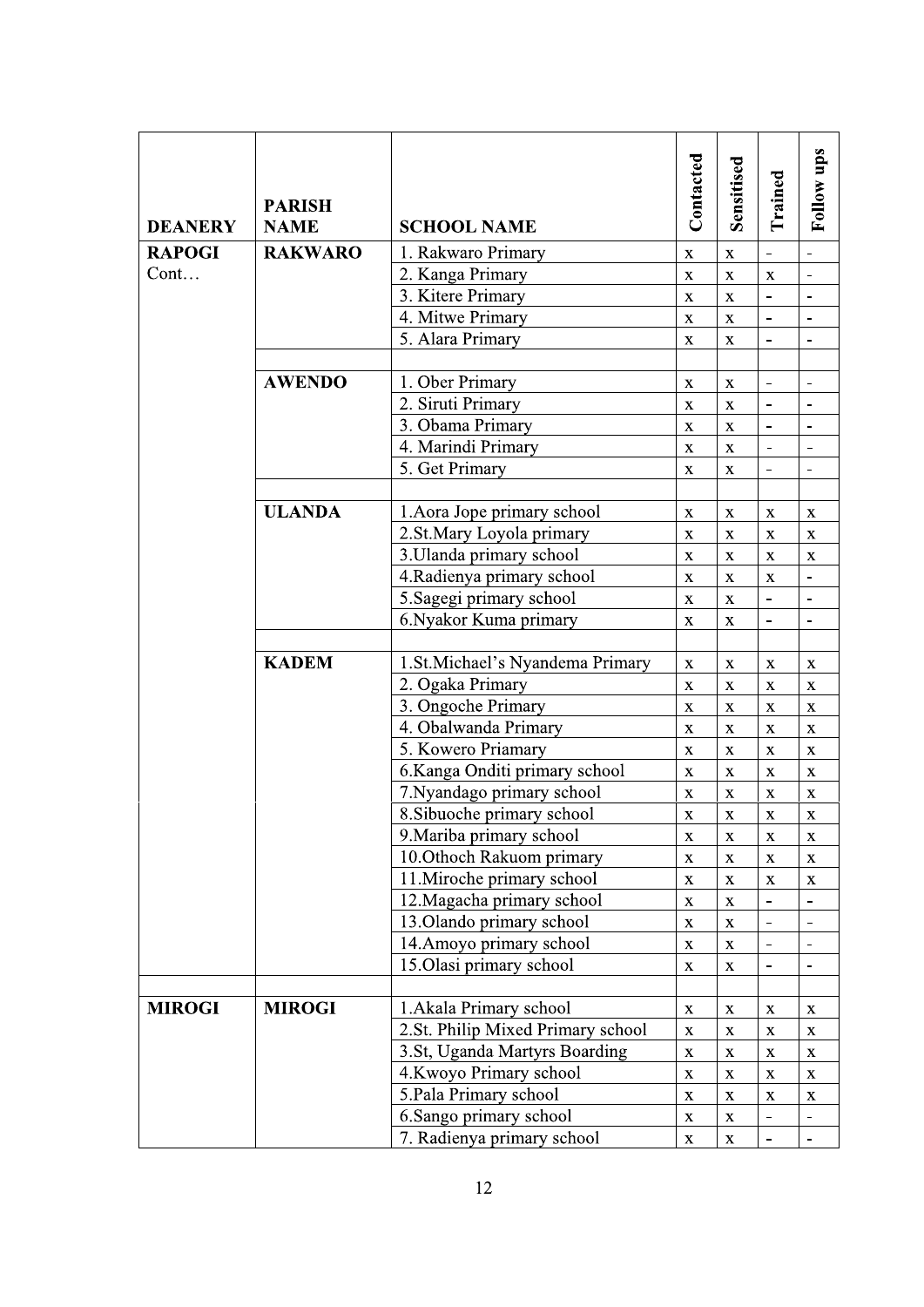| <b>RAKWARO</b><br><b>RAPOGI</b><br>Cont | 1. Rakwaro Primary<br>2. Kanga Primary<br>3. Kitere Primary<br>4. Mitwe Primary<br>5. Alara Primary<br>1. Ober Primary<br>2. Siruti Primary<br>3. Obama Primary<br>4. Marindi Primary<br>5. Get Primary | $\mathbf X$<br>$\mathbf X$<br>$\mathbf X$<br>$\mathbf X$<br>$\mathbf X$<br>$\mathbf X$<br>$\bar{\mathbf{X}}$<br>$\mathbf X$ | $\mathbf{X}$<br>$\bar{\mathbf{X}}$<br>$\mathbf X$<br>$\mathbf X$<br>$\bar{\mathbf{X}}$<br>$\mathbf X$<br>$\bar{\mathbf{X}}$ | $\mathbf X$<br>$\overline{a}$<br>$\blacksquare$ | $\blacksquare$               |
|-----------------------------------------|---------------------------------------------------------------------------------------------------------------------------------------------------------------------------------------------------------|-----------------------------------------------------------------------------------------------------------------------------|-----------------------------------------------------------------------------------------------------------------------------|-------------------------------------------------|------------------------------|
|                                         |                                                                                                                                                                                                         |                                                                                                                             |                                                                                                                             |                                                 |                              |
|                                         |                                                                                                                                                                                                         |                                                                                                                             |                                                                                                                             |                                                 |                              |
|                                         |                                                                                                                                                                                                         |                                                                                                                             |                                                                                                                             |                                                 |                              |
|                                         |                                                                                                                                                                                                         |                                                                                                                             |                                                                                                                             |                                                 |                              |
|                                         |                                                                                                                                                                                                         |                                                                                                                             |                                                                                                                             |                                                 |                              |
|                                         |                                                                                                                                                                                                         |                                                                                                                             |                                                                                                                             |                                                 |                              |
| <b>AWENDO</b>                           |                                                                                                                                                                                                         |                                                                                                                             |                                                                                                                             |                                                 |                              |
|                                         |                                                                                                                                                                                                         |                                                                                                                             |                                                                                                                             | $\overline{a}$                                  |                              |
|                                         |                                                                                                                                                                                                         |                                                                                                                             | $\mathbf X$                                                                                                                 | $\qquad \qquad \blacksquare$                    |                              |
|                                         |                                                                                                                                                                                                         | $\mathbf X$                                                                                                                 | $\mathbf X$                                                                                                                 | $\overline{\phantom{a}}$                        |                              |
|                                         |                                                                                                                                                                                                         | $\mathbf X$                                                                                                                 | $\mathbf{X}$                                                                                                                | $\overline{a}$                                  |                              |
|                                         |                                                                                                                                                                                                         |                                                                                                                             |                                                                                                                             |                                                 |                              |
| <b>ULANDA</b>                           | 1. Aora Jope primary school                                                                                                                                                                             | $\mathbf X$                                                                                                                 | $\mathbf X$                                                                                                                 | X                                               | $\mathbf X$                  |
|                                         | 2.St.Mary Loyola primary                                                                                                                                                                                | $\mathbf X$                                                                                                                 | $\mathbf X$                                                                                                                 | $\mathbf X$                                     | $\mathbf X$                  |
|                                         | 3. Ulanda primary school                                                                                                                                                                                | $\mathbf X$                                                                                                                 | $\mathbf X$                                                                                                                 | $\mathbf X$                                     | $\mathbf{X}$                 |
|                                         | 4. Radienya primary school                                                                                                                                                                              | $\mathbf X$                                                                                                                 | $\mathbf X$                                                                                                                 | X                                               | $\qquad \qquad \blacksquare$ |
|                                         | 5. Sagegi primary school                                                                                                                                                                                | $\mathbf X$                                                                                                                 | $\mathbf X$                                                                                                                 | $\frac{1}{2}$                                   |                              |
|                                         | 6. Nyakor Kuma primary                                                                                                                                                                                  | $\mathbf X$                                                                                                                 | X                                                                                                                           |                                                 |                              |
|                                         |                                                                                                                                                                                                         |                                                                                                                             |                                                                                                                             |                                                 |                              |
| <b>KADEM</b>                            | 1.St.Michael's Nyandema Primary                                                                                                                                                                         | $\mathbf X$                                                                                                                 | $\mathbf X$                                                                                                                 | $\mathbf X$                                     | $\mathbf X$                  |
|                                         | 2. Ogaka Primary                                                                                                                                                                                        | $\bar{\mathbf{X}}$                                                                                                          | $\mathbf X$                                                                                                                 | $\mathbf X$                                     | $\mathbf X$                  |
|                                         | 3. Ongoche Primary                                                                                                                                                                                      | $\mathbf X$                                                                                                                 | $\mathbf X$                                                                                                                 | $\mathbf X$                                     | $\mathbf X$                  |
|                                         | 4. Obalwanda Primary                                                                                                                                                                                    | $\mathbf X$                                                                                                                 | $\mathbf X$                                                                                                                 | $\mathbf X$                                     | $\mathbf X$                  |
|                                         | 5. Kowero Priamary                                                                                                                                                                                      | $\mathbf X$                                                                                                                 | $\mathbf X$                                                                                                                 | $\mathbf X$                                     | $\mathbf X$                  |
|                                         | 6.Kanga Onditi primary school                                                                                                                                                                           | $\mathbf X$                                                                                                                 | X                                                                                                                           | X                                               | X                            |
|                                         | 7. Nyandago primary school                                                                                                                                                                              | $\mathbf X$                                                                                                                 | $\mathbf X$                                                                                                                 | $\mathbf X$                                     | $\mathbf X$                  |
|                                         | 8. Sibuoche primary school                                                                                                                                                                              | $\bar{\mathbf{X}}$                                                                                                          | $\bar{\mathbf{x}}$                                                                                                          | $\bar{\mathbf{X}}$                              | $\mathbf X$                  |
|                                         | 9. Mariba primary school                                                                                                                                                                                | $\mathbf X$                                                                                                                 | $\mathbf X$                                                                                                                 | $\mathbf X$                                     | $\mathbf X$                  |
|                                         | 10. Othoch Rakuom primary                                                                                                                                                                               | $\bar{\mathbf{X}}$                                                                                                          | $\mathbf X$                                                                                                                 | $\mathbf X$                                     | $\mathbf X$                  |
|                                         | 11. Miroche primary school                                                                                                                                                                              | $\bar{\mathbf{X}}$                                                                                                          | $\mathbf X$                                                                                                                 | $\mathbf X$                                     | $\mathbf X$                  |
|                                         | 12. Magacha primary school                                                                                                                                                                              | $\mathbf X$                                                                                                                 | $\mathbf X$                                                                                                                 | $\qquad \qquad \blacksquare$                    |                              |
|                                         | 13. Olando primary school                                                                                                                                                                               | $\mathbf X$                                                                                                                 | $\mathbf X$                                                                                                                 | $\overline{a}$                                  |                              |
|                                         | 14. Amoyo primary school                                                                                                                                                                                | $\mathbf X$                                                                                                                 | $\mathbf X$                                                                                                                 | $\overline{a}$                                  |                              |
|                                         | 15.Olasi primary school                                                                                                                                                                                 | $\mathbf X$                                                                                                                 | $\mathbf X$                                                                                                                 | $\overline{\phantom{0}}$                        | $\qquad \qquad \blacksquare$ |
| <b>MIROGI</b><br><b>MIROGI</b>          |                                                                                                                                                                                                         |                                                                                                                             |                                                                                                                             |                                                 |                              |
|                                         | 1. Akala Primary school<br>2.St. Philip Mixed Primary school                                                                                                                                            | $\mathbf X$                                                                                                                 | X                                                                                                                           | X                                               | X                            |
|                                         | 3.St, Uganda Martyrs Boarding                                                                                                                                                                           | $\mathbf X$<br>$\mathbf X$                                                                                                  | $\mathbf X$<br>$\mathbf X$                                                                                                  | $\mathbf X$                                     | X                            |
|                                         | 4. Kwoyo Primary school                                                                                                                                                                                 | $\mathbf X$                                                                                                                 |                                                                                                                             | $\mathbf X$                                     | $\mathbf X$<br>$\mathbf X$   |
|                                         | 5. Pala Primary school                                                                                                                                                                                  |                                                                                                                             | $\mathbf X$                                                                                                                 | $\mathbf X$                                     |                              |
|                                         | 6.Sango primary school                                                                                                                                                                                  | $\mathbf X$<br>$\mathbf X$                                                                                                  | $\mathbf X$<br>$\mathbf X$                                                                                                  | $\mathbf X$<br>$\frac{1}{2}$                    | X                            |
|                                         | 7. Radienya primary school                                                                                                                                                                              | $\mathbf X$                                                                                                                 | $\mathbf X$                                                                                                                 |                                                 |                              |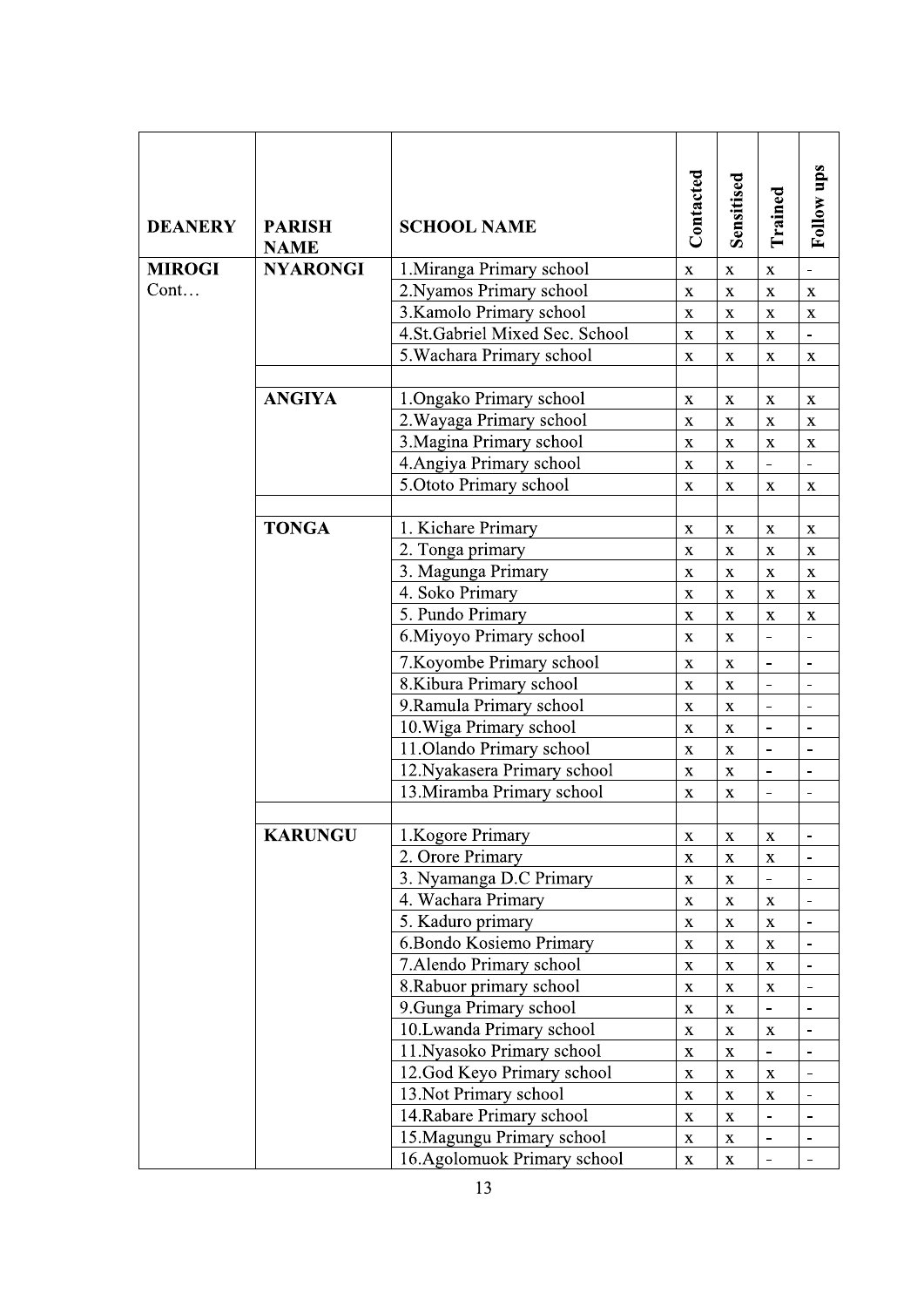| <b>DEANERY</b> | <b>PARISH</b>   | <b>SCHOOL NAME</b>                                          | Contacted                 | Sensitised         | Trained                      | Follow ups               |
|----------------|-----------------|-------------------------------------------------------------|---------------------------|--------------------|------------------------------|--------------------------|
|                | <b>NAME</b>     |                                                             |                           |                    |                              |                          |
| <b>MIROGI</b>  | <b>NYARONGI</b> | 1. Miranga Primary school                                   | $\mathbf X$               | $\mathbf X$        | $\mathbf X$                  | $\overline{\phantom{a}}$ |
| $Cont.$        |                 | 2. Nyamos Primary school                                    | $\mathbf X$               | X                  | X                            | $\mathbf X$              |
|                |                 | 3. Kamolo Primary school                                    | X                         | $\mathbf X$        | $\mathbf X$                  | X                        |
|                |                 | 4.St.Gabriel Mixed Sec. School<br>5. Wachara Primary school | $\mathbf X$               | $\mathbf X$        | X                            | $\frac{1}{2}$            |
|                |                 |                                                             | $\mathbf{X}$              | X                  | $\mathbf X$                  | $\mathbf{X}$             |
|                | <b>ANGIYA</b>   | 1. Ongako Primary school                                    | $\mathbf X$               | $\mathbf{X}$       | $\mathbf X$                  | $\mathbf X$              |
|                |                 | 2. Wayaga Primary school                                    | $\mathbf X$               | $\mathbf X$        | $\mathbf X$                  | $\mathbf X$              |
|                |                 | 3. Magina Primary school                                    | $\mathbf X$               | $\mathbf{X}$       | $\mathbf X$                  | $\mathbf X$              |
|                |                 | 4. Angiya Primary school                                    | $\mathbf X$               | $\mathbf X$        | $\blacksquare$               |                          |
|                |                 | 5.Ototo Primary school                                      | $\mathbf{X}$              | X                  | X                            | $\mathbf X$              |
|                |                 |                                                             |                           |                    |                              |                          |
|                | <b>TONGA</b>    | 1. Kichare Primary                                          | X                         | X                  | X                            | X                        |
|                |                 | 2. Tonga primary                                            | $\mathbf X$               | $\mathbf X$        | $\mathbf X$                  | $\mathbf X$              |
|                |                 | 3. Magunga Primary                                          | $\mathbf X$               | $\mathbf X$        | $\mathbf X$                  | $\mathbf X$              |
|                |                 | 4. Soko Primary                                             | $\mathbf X$               | X                  | X                            | $\mathbf{X}$             |
|                |                 | 5. Pundo Primary                                            | $\mathbf X$               | $\mathbf X$        | $\mathbf X$                  | $\mathbf X$              |
|                |                 | 6. Miyoyo Primary school                                    | $\mathbf X$               | $\mathbf{X}$       | $\overline{a}$               |                          |
|                |                 | 7. Koyombe Primary school                                   | $\mathbf{X}$              | X                  | $\overline{a}$               |                          |
|                |                 | 8. Kibura Primary school                                    | $\mathbf X$               | X                  | $\overline{a}$               | $\overline{\phantom{a}}$ |
|                |                 | 9. Ramula Primary school                                    | $\mathbf X$               | X                  | $\qquad \qquad \blacksquare$ | $\overline{\phantom{a}}$ |
|                |                 | 10. Wiga Primary school                                     | $\mathbf X$               | $\mathbf X$        | $\blacksquare$               |                          |
|                |                 | 11.Olando Primary school                                    | $\mathbf X$               | X                  | $\frac{1}{2}$                |                          |
|                |                 | 12. Nyakasera Primary school                                | X                         | X                  | $\qquad \qquad \blacksquare$ |                          |
|                |                 | 13. Miramba Primary school                                  | $\mathbf X$               | $\mathbf X$        | $\overline{\phantom{0}}$     | $\overline{\phantom{a}}$ |
|                |                 |                                                             |                           |                    |                              |                          |
|                | <b>KARUNGU</b>  | 1. Kogore Primary                                           | X                         | $\mathbf X$        | $\mathbf X$                  |                          |
|                |                 | 2. Orore Primary                                            | $\mathbf X$               | $\mathbf X$        | $\mathbf X$                  |                          |
|                |                 | 3. Nyamanga D.C Primary                                     | $\mathbf X$               | $\mathbf X$        | $\overline{a}$               |                          |
|                |                 | 4. Wachara Primary                                          | $\boldsymbol{\mathrm{X}}$ | $\mathbf X$        | $\mathbf X$                  |                          |
|                |                 | 5. Kaduro primary                                           | $\mathbf X$               | $\mathbf X$        | $\mathbf X$                  | $\blacksquare$           |
|                |                 | 6.Bondo Kosiemo Primary                                     | $\mathbf X$               | $\mathbf X$        | $\mathbf X$                  |                          |
|                |                 | 7. Alendo Primary school                                    | $\mathbf X$               | $\mathbf X$        | $\mathbf X$                  |                          |
|                |                 | 8. Rabuor primary school                                    | $\mathbf X$               | $\mathbf X$        | $\mathbf X$                  |                          |
|                |                 | 9. Gunga Primary school                                     | $\mathbf X$               | $\bar{\mathbf{X}}$ | $\frac{1}{2}$                |                          |
|                |                 | 10.Lwanda Primary school                                    | $\mathbf X$               | $\mathbf X$        | $\mathbf X$                  |                          |
|                |                 | 11. Nyasoko Primary school                                  | $\mathbf X$               | $\mathbf X$        | $\overline{\phantom{m}}$     |                          |
|                |                 | 12.God Keyo Primary school                                  | $\mathbf X$               | $\mathbf X$        | $\mathbf X$                  |                          |
|                |                 | 13. Not Primary school                                      | $\mathbf X$               | $\mathbf X$        | $\mathbf X$                  |                          |
|                |                 | 14. Rabare Primary school                                   | $\mathbf X$               | $\mathbf X$        | $\overline{\phantom{a}}$     |                          |
|                |                 | 15. Magungu Primary school                                  | $\mathbf X$               | $\mathbf X$        |                              |                          |
|                |                 | 16.Agolomuok Primary school                                 | $\mathbf X$               | $\mathbf{\bar{X}}$ | $\frac{1}{2}$                |                          |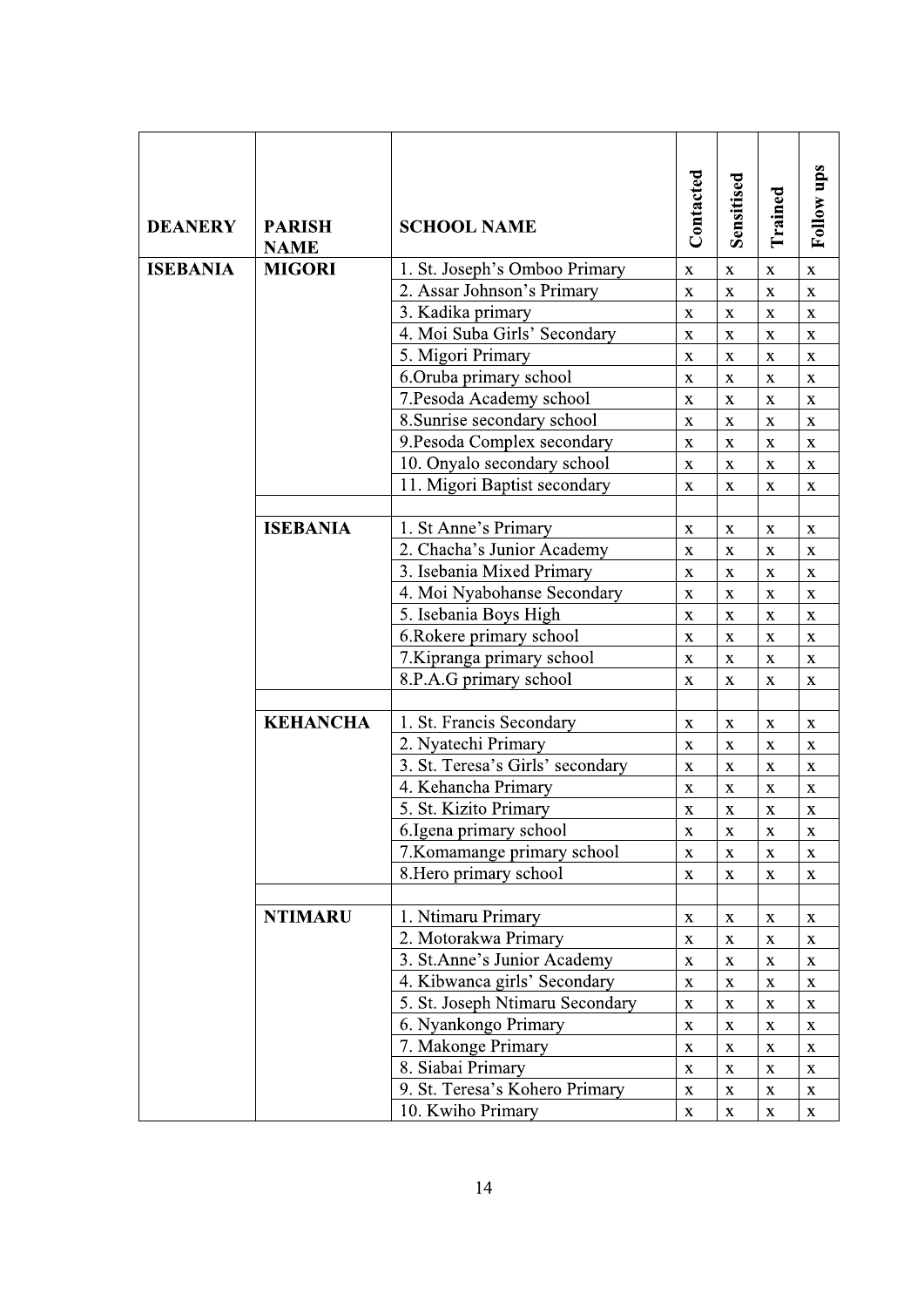| <b>DEANERY</b>  | <b>PARISH</b><br><b>NAME</b> | <b>SCHOOL NAME</b>                                      | Contacted                         | Sensitised                        | Trained                    | Follow ups                 |
|-----------------|------------------------------|---------------------------------------------------------|-----------------------------------|-----------------------------------|----------------------------|----------------------------|
| <b>ISEBANIA</b> | <b>MIGORI</b>                | 1. St. Joseph's Omboo Primary                           | $\mathbf X$                       | $\mathbf X$                       | $\mathbf X$                | X                          |
|                 |                              | 2. Assar Johnson's Primary                              | $\mathbf X$                       | $\mathbf X$                       | $\mathbf X$                | $\mathbf X$                |
|                 |                              | 3. Kadika primary                                       | $\mathbf X$                       | $\mathbf X$                       | $\mathbf X$                | $\mathbf X$                |
|                 |                              | 4. Moi Suba Girls' Secondary                            | $\mathbf X$                       | $\mathbf X$                       | $\mathbf X$                | $\mathbf X$                |
|                 |                              | 5. Migori Primary                                       | $\mathbf X$                       | $\mathbf X$                       | $\mathbf X$                | $\mathbf X$                |
|                 |                              | 6.Oruba primary school                                  | $\mathbf X$                       | $\mathbf X$<br>$\bar{\mathbf{X}}$ | $\mathbf X$                | $\mathbf X$                |
|                 |                              | 7. Pesoda Academy school<br>8. Sunrise secondary school | $\bar{\mathbf{X}}$<br>$\mathbf X$ | $\mathbf X$                       | $\mathbf X$<br>$\mathbf X$ | $\mathbf X$<br>$\mathbf X$ |
|                 |                              | 9. Pesoda Complex secondary                             | $\mathbf X$                       | $\mathbf X$                       | $\mathbf X$                | $\mathbf X$                |
|                 |                              | 10. Onyalo secondary school                             | $\bar{\mathbf{X}}$                | $\bar{\mathbf{X}}$                | $\mathbf X$                | $\bar{\mathbf{X}}$         |
|                 |                              | 11. Migori Baptist secondary                            | $\mathbf X$                       | $\mathbf X$                       | $\mathbf X$                | $\mathbf X$                |
|                 |                              |                                                         |                                   |                                   |                            |                            |
|                 | <b>ISEBANIA</b>              | 1. St Anne's Primary                                    | $\mathbf X$                       | $\mathbf X$                       | $\mathbf X$                | $\mathbf X$                |
|                 |                              | 2. Chacha's Junior Academy                              | $\mathbf X$                       | $\mathbf X$                       | $\mathbf X$                | $\mathbf X$                |
|                 |                              | 3. Isebania Mixed Primary                               | $\mathbf X$                       | $\mathbf X$                       | $\mathbf X$                | $\mathbf X$                |
|                 |                              | 4. Moi Nyabohanse Secondary                             | $\mathbf X$                       | $\bar{\mathbf{X}}$                | $\mathbf X$                | $\mathbf X$                |
|                 |                              | 5. Isebania Boys High                                   | $\mathbf X$                       | $\mathbf X$                       | $\mathbf X$                | $\mathbf X$                |
|                 |                              | 6. Rokere primary school                                | $\mathbf X$                       | $\mathbf X$                       | $\mathbf X$                | $\mathbf X$                |
|                 |                              | 7. Kipranga primary school                              | $\mathbf X$                       | $\mathbf X$                       | $\mathbf X$                | $\mathbf X$                |
|                 |                              | 8.P.A.G primary school                                  | $\mathbf X$                       | $\mathbf X$                       | $\mathbf X$                | $\mathbf X$                |
|                 | <b>KEHANCHA</b>              | 1. St. Francis Secondary                                | $\mathbf X$                       | $\mathbf X$                       | $\mathbf X$                | $\mathbf X$                |
|                 |                              | 2. Nyatechi Primary                                     | $\mathbf X$                       | $\mathbf X$                       | $\mathbf X$                | $\mathbf X$                |
|                 |                              | 3. St. Teresa's Girls' secondary                        | $\mathbf X$                       | $\mathbf X$                       | $\mathbf X$                | $\mathbf X$                |
|                 |                              | 4. Kehancha Primary                                     | $\mathbf X$                       | $\mathbf X$                       | $\mathbf X$                | $\mathbf X$                |
|                 |                              | 5. St. Kizito Primary                                   | $\mathbf X$                       | $\mathbf X$                       | $\mathbf X$                | $\mathbf X$                |
|                 |                              | 6. Igena primary school                                 | $\mathbf X$                       | $\mathbf X$                       | $\mathbf X$                | $\mathbf X$                |
|                 |                              | 7. Komamange primary school                             | $\mathbf X$                       | $\mathbf X$                       | $\mathbf X$                | $\mathbf X$                |
|                 |                              | 8. Hero primary school                                  | $\mathbf X$                       | $\bar{\mathbf{X}}$                | $\mathbf X$                | $\mathbf X$                |
|                 | <b>NTIMARU</b>               | 1. Ntimaru Primary                                      | $\mathbf X$                       | $\mathbf X$                       | $\mathbf X$                | $\mathbf X$                |
|                 |                              | 2. Motorakwa Primary                                    | $\bar{\mathbf{X}}$                | $\mathbf{\bar{X}}$                | $\mathbf X$                | $\mathbf X$                |
|                 |                              | 3. St.Anne's Junior Academy                             | $\mathbf X$                       | $\mathbf X$                       | $\mathbf X$                | $\mathbf X$                |
|                 |                              | 4. Kibwanca girls' Secondary                            | $\mathbf X$                       | $\mathbf X$                       | $\mathbf X$                | $\mathbf X$                |
|                 |                              | 5. St. Joseph Ntimaru Secondary                         | $\mathbf X$                       | $\mathbf X$                       | $\mathbf X$                | $\mathbf X$                |
|                 |                              | 6. Nyankongo Primary                                    | $\mathbf X$                       | $\mathbf X$                       | $\mathbf X$                | $\mathbf X$                |
|                 |                              | 7. Makonge Primary                                      | $\mathbf X$                       | $\mathbf X$                       | $\mathbf X$                | $\mathbf X$                |
|                 |                              | 8. Siabai Primary                                       | $\mathbf X$                       | $\mathbf X$                       | $\mathbf X$                | $\mathbf X$                |
|                 |                              | 9. St. Teresa's Kohero Primary                          | $\mathbf X$                       | $\mathbf X$                       | $\mathbf X$                | $\mathbf X$                |
|                 |                              | 10. Kwiho Primary                                       | $\mathbf X$                       | $\mathbf X$                       | $\mathbf X$                | $\mathbf X$                |